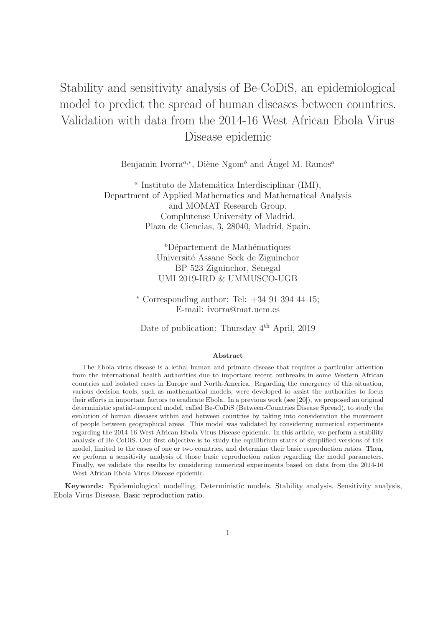# Stability and sensitivity analysis of Be-CoDiS, an epidemiological model to predict the spread of human diseases between countries. Validation with data from the 2014-16 West African Ebola Virus Disease epidemic

Benjamin Ivorra<sup>a,∗</sup>, Diène Ngom<sup>b</sup> and Ángel M. Ramos<sup>a</sup>

<sup>a</sup> Instituto de Matemática Interdisciplinar (IMI), Department of Applied Mathematics and Mathematical Analysis and MOMAT Research Group. Complutense University of Madrid. Plaza de Ciencias, 3, 28040, Madrid, Spain.

> ${}^bD\acute{e}$ partement de Mathématiques Universit´e Assane Seck de Ziguinchor BP 523 Ziguinchor, Senegal UMI 2019-IRD & UMMUSCO-UGB

<sup>∗</sup> Corresponding author: Tel: +34 91 394 44 15; E-mail: ivorra@mat.ucm.es

Date of publication: Thursday 4<sup>th</sup> April, 2019

#### Abstract

The Ebola virus disease is a lethal human and primate disease that requires a particular attention from the international health authorities due to important recent outbreaks in some Western African countries and isolated cases in Europe and North-America. Regarding the emergency of this situation, various decision tools, such as mathematical models, were developed to assist the authorities to focus their efforts in important factors to eradicate Ebola. In a previous work (see [20]), we proposed an original deterministic spatial-temporal model, called Be-CoDiS (Between-Countries Disease Spread), to study the evolution of human diseases within and between countries by taking into consideration the movement of people between geographical areas. This model was validated by considering numerical experiments regarding the 2014-16 West African Ebola Virus Disease epidemic. In this article, we perform a stability analysis of Be-CoDiS. Our first objective is to study the equilibrium states of simplified versions of this model, limited to the cases of one or two countries, and determine their basic reproduction ratios. Then, we perform a sensitivity analysis of those basic reproduction ratios regarding the model parameters. Finally, we validate the results by considering numerical experiments based on data from the 2014-16 West African Ebola Virus Disease epidemic.

Keywords: Epidemiological modelling, Deterministic models, Stability analysis, Sensitivity analysis, Ebola Virus Disease, Basic reproduction ratio.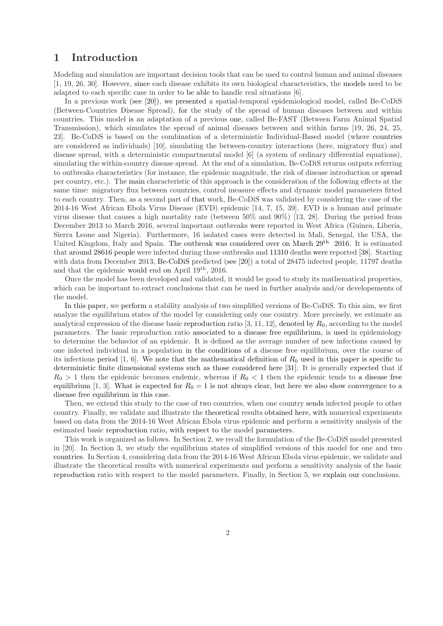# 1 Introduction

Modeling and simulation are important decision tools that can be used to control human and animal diseases [1, 19, 26, 30]. However, since each disease exhibits its own biological characteristics, the models need to be adapted to each specific case in order to be able to handle real situations [6].

In a previous work (see [20]), we presented a spatial-temporal epidemiological model, called Be-CoDiS (Between-Countries Disease Spread), for the study of the spread of human diseases between and within countries. This model is an adaptation of a previous one, called Be-FAST (Between Farm Animal Spatial Transmission), which simulates the spread of animal diseases between and within farms [19, 26, 24, 25, 23]. Be-CoDiS is based on the combination of a deterministic Individual-Based model (where countries are considered as individuals) [10], simulating the between-country interactions (here, migratory flux) and disease spread, with a deterministic compartmental model [6] (a system of ordinary differential equations), simulating the within-country disease spread. At the end of a simulation, Be-CoDiS returns outputs referring to outbreaks characteristics (for instance, the epidemic magnitude, the risk of disease introduction or spread per country, etc.). The main characteristic of this approach is the consideration of the following effects at the same time: migratory flux between countries, control measure effects and dynamic model parameters fitted to each country. Then, as a second part of that work, Be-CoDiS was validated by considering the case of the 2014-16 West African Ebola Virus Disease (EVD) epidemic [14, 7, 15, 39]. EVD is a human and primate virus disease that causes a high mortality rate (between 50% and 90%) [13, 28]. During the period from December 2013 to March 2016, several important outbreaks were reported in West Africa (Guinea, Liberia, Sierra Leone and Nigeria). Furthermore, 16 isolated cases were detected in Mali, Senegal, the USA, the United Kingdom, Italy and Spain. The outbreak was considered over on March 29<sup>th</sup> 2016. It is estimated that around 28616 people were infected during those outbreaks and 11310 deaths were reported [38]. Starting with data from December 2013, Be-CoDiS predicted (see [20]) a total of 28475 infected people, 11797 deaths and that the epidemic would end on April 19th, 2016.

Once the model has been developed and validated, it would be good to study its mathematical properties, which can be important to extract conclusions that can be used in further analysis and/or developements of the model.

In this paper, we perform a stability analysis of two simplified versions of Be-CoDiS. To this aim, we first analyze the equilibrium states of the model by considering only one country. More precisely, we estimate an analytical expression of the disease basic reproduction ratio [3, 11, 12], denoted by  $R_0$ , according to the model parameters. The basic reproduction ratio associated to a disease free equilibrium, is used in epidemiology to determine the behavior of an epidemic. It is defined as the average number of new infections caused by one infected individual in a population in the conditions of a disease free equilibrium, over the course of its infectious period [1, 6]. We note that the mathematical definition of  $R_0$  used in this paper is specific to deterministic finite dimensional systems such as those considered here [31]. It is generally expected that if  $R_0 > 1$  then the epidemic becomes endemic, whereas if  $R_0 < 1$  then the epidemic tends to a disease free equilibrium [1, 3]. What is expected for  $R_0 = 1$  is not always clear, but here we also show convergence to a disease free equilibrium in this case.

Then, we extend this study to the case of two countries, when one country sends infected people to other country. Finally, we validate and illustrate the theoretical results obtained here, with numerical experiments based on data from the 2014-16 West African Ebola virus epidemic and perform a sensitivity analysis of the estimated basic reproduction ratio, with respect to the model parameters.

This work is organized as follows. In Section 2, we recall the formulation of the Be-CoDiS model presented in [20]. In Section 3, we study the equilibrium states of simplified versions of this model for one and two countries. In Section 4, considering data from the 2014-16 West African Ebola virus epidemic, we validate and illustrate the theoretical results with numerical experiments and perform a sensitivity analysis of the basic reproduction ratio with respect to the model parameters. Finally, in Section 5, we explain our conclusions.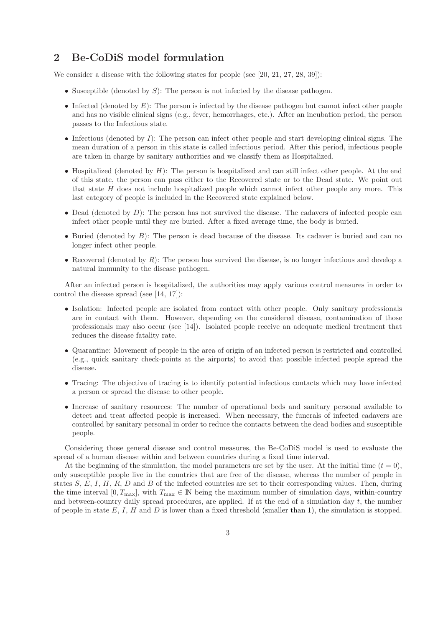# 2 Be-CoDiS model formulation

We consider a disease with the following states for people (see [20, 21, 27, 28, 39]):

- Susceptible (denoted by  $S$ ): The person is not infected by the disease pathogen.
- Infected (denoted by  $E$ ): The person is infected by the disease pathogen but cannot infect other people and has no visible clinical signs (e.g., fever, hemorrhages, etc.). After an incubation period, the person passes to the Infectious state.
- Infectious (denoted by  $I$ ): The person can infect other people and start developing clinical signs. The mean duration of a person in this state is called infectious period. After this period, infectious people are taken in charge by sanitary authorities and we classify them as Hospitalized.
- Hospitalized (denoted by  $H$ ): The person is hospitalized and can still infect other people. At the end of this state, the person can pass either to the Recovered state or to the Dead state. We point out that state  $H$  does not include hospitalized people which cannot infect other people any more. This last category of people is included in the Recovered state explained below.
- Dead (denoted by  $D$ ): The person has not survived the disease. The cadavers of infected people can infect other people until they are buried. After a fixed average time, the body is buried.
- Buried (denoted by  $B$ ): The person is dead because of the disease. Its cadaver is buried and can no longer infect other people.
- Recovered (denoted by  $R$ ): The person has survived the disease, is no longer infectious and develop a natural immunity to the disease pathogen.

After an infected person is hospitalized, the authorities may apply various control measures in order to control the disease spread (see [14, 17]):

- Isolation: Infected people are isolated from contact with other people. Only sanitary professionals are in contact with them. However, depending on the considered disease, contamination of those professionals may also occur (see [14]). Isolated people receive an adequate medical treatment that reduces the disease fatality rate.
- Quarantine: Movement of people in the area of origin of an infected person is restricted and controlled (e.g., quick sanitary check-points at the airports) to avoid that possible infected people spread the disease.
- Tracing: The objective of tracing is to identify potential infectious contacts which may have infected a person or spread the disease to other people.
- Increase of sanitary resources: The number of operational beds and sanitary personal available to detect and treat affected people is increased. When necessary, the funerals of infected cadavers are controlled by sanitary personal in order to reduce the contacts between the dead bodies and susceptible people.

Considering those general disease and control measures, the Be-CoDiS model is used to evaluate the spread of a human disease within and between countries during a fixed time interval.

At the beginning of the simulation, the model parameters are set by the user. At the initial time  $(t = 0)$ , only susceptible people live in the countries that are free of the disease, whereas the number of people in states  $S, E, I, H, R, D$  and B of the infected countries are set to their corresponding values. Then, during the time interval [0,  $T_{\text{max}}$ ], with  $T_{\text{max}} \in \mathbb{N}$  being the maximum number of simulation days, within-country and between-country daily spread procedures, are applied. If at the end of a simulation day  $t$ , the number of people in state  $E, I, H$  and  $D$  is lower than a fixed threshold (smaller than 1), the simulation is stopped.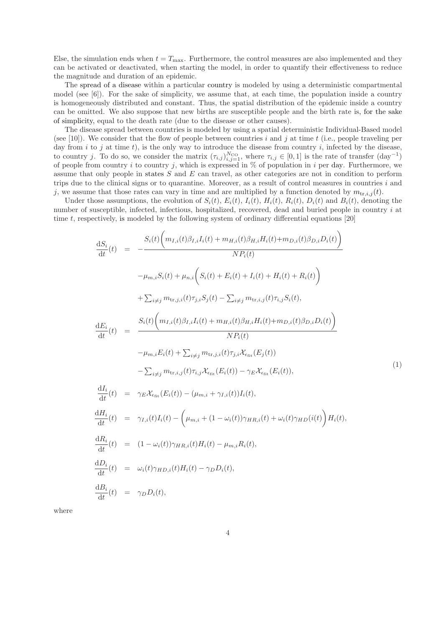Else, the simulation ends when  $t = T_{\text{max}}$ . Furthermore, the control measures are also implemented and they can be activated or deactivated, when starting the model, in order to quantify their effectiveness to reduce the magnitude and duration of an epidemic.

The spread of a disease within a particular country is modeled by using a deterministic compartmental model (see [6]). For the sake of simplicity, we assume that, at each time, the population inside a country is homogeneously distributed and constant. Thus, the spatial distribution of the epidemic inside a country can be omitted. We also suppose that new births are susceptible people and the birth rate is, for the sake of simplicity, equal to the death rate (due to the disease or other causes).

The disease spread between countries is modeled by using a spatial deterministic Individual-Based model (see [10]). We consider that the flow of people between countries i and j at time t (i.e., people traveling per day from  $i$  to  $j$  at time  $t$ ), is the only way to introduce the disease from country  $i$ , infected by the disease, to country j. To do so, we consider the matrix  $(\tau_{i,j})_{i,j=1}^{N_{\text{CO}}}$ , where  $\tau_{i,j} \in [0,1]$  is the rate of transfer  $(\text{day}^{-1})$ of people from country i to country j, which is expressed in  $%$  of population in i per day. Furthermore, we assume that only people in states  $S$  and  $E$  can travel, as other categories are not in condition to perform trips due to the clinical signs or to quarantine. Moreover, as a result of control measures in countries i and j, we assume that those rates can vary in time and are multiplied by a function denoted by  $m_{\text{tr }i,j}(t)$ .

Under those assumptions, the evolution of  $S_i(t)$ ,  $E_i(t)$ ,  $I_i(t)$ ,  $H_i(t)$ ,  $R_i(t)$ ,  $D_i(t)$  and  $B_i(t)$ , denoting the number of susceptible, infected, infectious, hospitalized, recovered, dead and buried people in country i at time t, respectively, is modeled by the following system of ordinary differential equations [20]

$$
\frac{dS_i}{dt}(t) = -\frac{S_i(t)\bigg(m_{I,i}(t)\beta_{I,i}I_i(t) + m_{H,i}(t)\beta_{H,i}H_i(t) + m_{D,i}(t)\beta_{D,i}D_i(t)\bigg)}{NP_i(t)}
$$
\n
$$
-\mu_{m,i}S_i(t) + \mu_{n,i}\bigg(S_i(t) + E_i(t) + I_i(t) + H_i(t) + R_i(t)\bigg)
$$
\n
$$
+\sum_{i\neq j}m_{tr,j,i}(t)\tau_{j,i}S_j(t) - \sum_{i\neq j}m_{tr,i,j}(t)\tau_{i,j}S_i(t),
$$
\n
$$
\frac{dE_i}{dt}(t) = \frac{S_i(t)\bigg(m_{I,i}(t)\beta_{I,i}I_i(t) + m_{H,i}(t)\beta_{H,i}H_i(t) + m_{D,i}(t)\beta_{D,i}D_i(t)\bigg)}{NP_i(t)}
$$
\n
$$
-\mu_{m,i}E_i(t) + \sum_{i\neq j}m_{tr,j,i}(t)\tau_{j,i}\mathcal{X}_{\epsilon_{fit}}(E_j(t))
$$
\n
$$
-\sum_{i\neq j}m_{tr,i,j}(t)\tau_{i,j}\mathcal{X}_{\epsilon_{fit}}(E_i(t)) - \gamma_E\mathcal{X}_{\epsilon_{fit}}(E_i(t)),
$$
\n
$$
\frac{dI_i}{dt}(t) = \gamma_E\mathcal{X}_{\epsilon_{fit}}(E_i(t)) - (\mu_{m,i} + \gamma_{I,i}(t))I_i(t),
$$
\n
$$
\frac{dR_i}{dt}(t) = \gamma_{I,i}(t)I_i(t) - \bigg(\mu_{m,i} + (1 - \omega_i(t))\gamma_{HR,i}(t) + \omega_i(t)\gamma_{HD}(i(t))\bigg)H_i(t),
$$
\n
$$
\frac{dR_i}{dt}(t) = (1 - \omega_i(t))\gamma_{HR,i}(t)H_i(t) - \mu_{m,i}R_i(t),
$$
\n
$$
\frac{dB_i}{dt}(t) = \omega_i(t)\gamma_{HD,i}(t)H_i(t) - \gamma_D D_i(t),
$$

where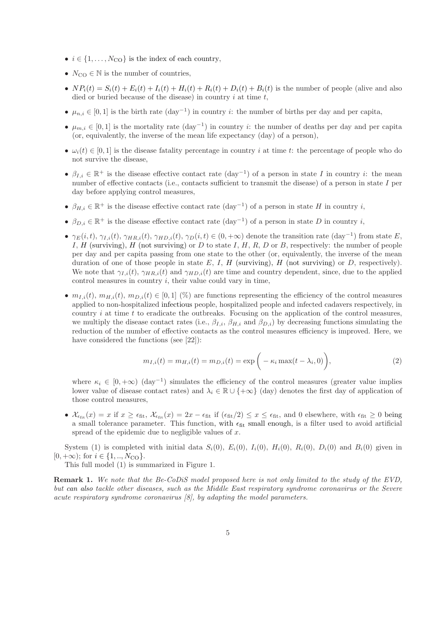- $i \in \{1, \ldots, N_{\rm CO}\}\$ is the index of each country,
- $N_{\text{CO}} \in \mathbb{N}$  is the number of countries,
- $NP_i(t) = S_i(t) + E_i(t) + I_i(t) + H_i(t) + R_i(t) + D_i(t) + B_i(t)$  is the number of people (alive and also died or buried because of the disease) in country  $i$  at time  $t$ ,
- $\mu_{n,i} \in [0,1]$  is the birth rate  $(\text{day}^{-1})$  in country *i*: the number of births per day and per capita,
- $\mu_{m,i} \in [0,1]$  is the mortality rate  $(\text{day}^{-1})$  in country *i*: the number of deaths per day and per capita (or, equivalently, the inverse of the mean life expectancy (day) of a person),
- $\omega_i(t) \in [0, 1]$  is the disease fatality percentage in country i at time t: the percentage of people who do not survive the disease,
- $\beta_{I,i} \in \mathbb{R}^+$  is the disease effective contact rate  $(\text{day}^{-1})$  of a person in state I in country *i*: the mean number of effective contacts (i.e., contacts sufficient to transmit the disease) of a person in state I per day before applying control measures,
- $\beta_{H,i} \in \mathbb{R}^+$  is the disease effective contact rate  $(\text{day}^{-1})$  of a person in state H in country i,
- $\beta_{D,i} \in \mathbb{R}^+$  is the disease effective contact rate  $(\text{day}^{-1})$  of a person in state D in country i,
- $\gamma_E(i, t), \gamma_{I,i}(t), \gamma_{HR,i}(t), \gamma_{HD,i}(t), \gamma_D(i, t) \in (0, +\infty)$  denote the transition rate  $(\text{day}^{-1})$  from state E, I, H (surviving), H (not surviving) or D to state I, H, R, D or B, respectively: the number of people per day and per capita passing from one state to the other (or, equivalently, the inverse of the mean duration of one of those people in state  $E$ ,  $I$ ,  $H$  (surviving),  $H$  (not surviving) or  $D$ , respectively). We note that  $\gamma_{I,i}(t)$ ,  $\gamma_{HR,i}(t)$  and  $\gamma_{HD,i}(t)$  are time and country dependent, since, due to the applied control measures in country  $i$ , their value could vary in time,
- $m_{I,i}(t), m_{H,i}(t), m_{D,i}(t) \in [0,1]$  (%) are functions representing the efficiency of the control measures applied to non-hospitalized infectious people, hospitalized people and infected cadavers respectively, in country  $i$  at time  $t$  to eradicate the outbreaks. Focusing on the application of the control measures, we multiply the disease contact rates (i.e.,  $\beta_{I,i}$ ,  $\beta_{H,i}$  and  $\beta_{D,i}$ ) by decreasing functions simulating the reduction of the number of effective contacts as the control measures efficiency is improved. Here, we have considered the functions (see [22]):

$$
m_{I,i}(t) = m_{H,i}(t) = m_{D,i}(t) = \exp\bigg(-\kappa_i \max(t - \lambda_i, 0)\bigg),\tag{2}
$$

where  $\kappa_i \in [0, +\infty)$  (day<sup>-1</sup>) simulates the efficiency of the control measures (greater value implies lower value of disease contact rates) and  $\lambda_i \in \mathbb{R} \cup \{+\infty\}$  (day) denotes the first day of application of those control measures,

•  $\mathcal{X}_{\epsilon_{\text{fit}}}(x) = x$  if  $x \geq \epsilon_{\text{fit}}$ ,  $\mathcal{X}_{\epsilon_{\text{fit}}}(x) = 2x - \epsilon_{\text{fit}}$  if  $(\epsilon_{\text{fit}}/2) \leq x \leq \epsilon_{\text{fit}}$ , and 0 elsewhere, with  $\epsilon_{\text{fit}} \geq 0$  being a small tolerance parameter. This function, with  $\epsilon_{\text{fit}}$  small enough, is a filter used to avoid artificial spread of the epidemic due to negligible values of  $x$ .

System (1) is completed with initial data  $S_i(0)$ ,  $E_i(0)$ ,  $I_i(0)$ ,  $H_i(0)$ ,  $R_i(0)$ ,  $D_i(0)$  and  $B_i(0)$  given in  $[0, +\infty);$  for  $i \in \{1, ..., N_{\text{CO}}\}.$ 

This full model (1) is summarized in Figure 1.

Remark 1. *We note that the Be-CoDiS model proposed here is not only limited to the study of the EVD, but can also tackle other diseases, such as the Middle East respiratory syndrome coronavirus or the Severe acute respiratory syndrome coronavirus [8], by adapting the model parameters.*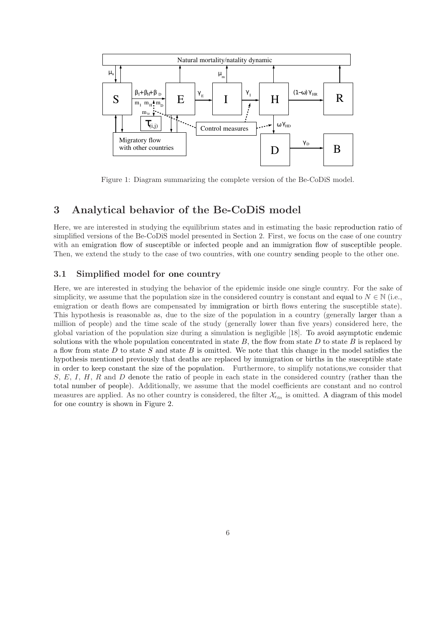

Figure 1: Diagram summarizing the complete version of the Be-CoDiS model.

# 3 Analytical behavior of the Be-CoDiS model

Here, we are interested in studying the equilibrium states and in estimating the basic reproduction ratio of simplified versions of the Be-CoDiS model presented in Section 2. First, we focus on the case of one country with an emigration flow of susceptible or infected people and an immigration flow of susceptible people. Then, we extend the study to the case of two countries, with one country sending people to the other one.

#### 3.1 Simplified model for one country

Here, we are interested in studying the behavior of the epidemic inside one single country. For the sake of simplicity, we assume that the population size in the considered country is constant and equal to  $N \in \mathbb{N}$  (i.e., emigration or death flows are compensated by immigration or birth flows entering the susceptible state). This hypothesis is reasonable as, due to the size of the population in a country (generally larger than a million of people) and the time scale of the study (generally lower than five years) considered here, the global variation of the population size during a simulation is negligible [18]. To avoid asymptotic endemic solutions with the whole population concentrated in state  $B$ , the flow from state  $D$  to state  $B$  is replaced by a flow from state D to state S and state B is omitted. We note that this change in the model satisfies the hypothesis mentioned previously that deaths are replaced by immigration or births in the susceptible state in order to keep constant the size of the population. Furthermore, to simplify notations,we consider that  $S, E, I, H, R$  and D denote the ratio of people in each state in the considered country (rather than the total number of people). Additionally, we assume that the model coefficients are constant and no control measures are applied. As no other country is considered, the filter  $\mathcal{X}_{\epsilon_{\text{fit}}}$  is omitted. A diagram of this model for one country is shown in Figure 2.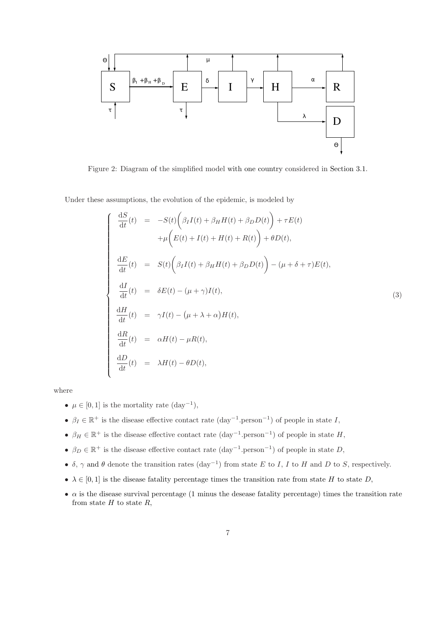

Figure 2: Diagram of the simplified model with one country considered in Section 3.1.

Under these assumptions, the evolution of the epidemic, is modeled by

$$
\begin{cases}\n\frac{dS}{dt}(t) = -S(t)\left(\beta_I I(t) + \beta_H H(t) + \beta_D D(t)\right) + \tau E(t) \\
+ \mu \left(E(t) + I(t) + H(t) + R(t)\right) + \theta D(t), \\
\frac{dE}{dt}(t) = S(t)\left(\beta_I I(t) + \beta_H H(t) + \beta_D D(t)\right) - (\mu + \delta + \tau)E(t), \\
\frac{dI}{dt}(t) = \delta E(t) - (\mu + \gamma)I(t), \\
\frac{dH}{dt}(t) = \gamma I(t) - (\mu + \lambda + \alpha)H(t), \\
\frac{dR}{dt}(t) = \alpha H(t) - \mu R(t), \\
\frac{dD}{dt}(t) = \lambda H(t) - \theta D(t),\n\end{cases}
$$
\n(3)

where

- $\mu \in [0, 1]$  is the mortality rate  $(\text{day}^{-1}),$
- $\beta_I \in \mathbb{R}^+$  is the disease effective contact rate  $(\text{day}^{-1}.\text{person}^{-1})$  of people in state I,
- $\beta_H \in \mathbb{R}^+$  is the disease effective contact rate  $(\text{day}^{-1}.\text{person}^{-1})$  of people in state H,
- $\beta_D \in \mathbb{R}^+$  is the disease effective contact rate  $(\text{day}^{-1}.\text{person}^{-1})$  of people in state D,
- $\delta$ ,  $\gamma$  and  $\theta$  denote the transition rates (day<sup>-1</sup>) from state E to I, I to H and D to S, respectively.
- $\lambda \in [0,1]$  is the disease fatality percentage times the transition rate from state H to state D,
- $\alpha$  is the disease survival percentage (1 minus the desease fatality percentage) times the transition rate from state  $H$  to state  $R$ ,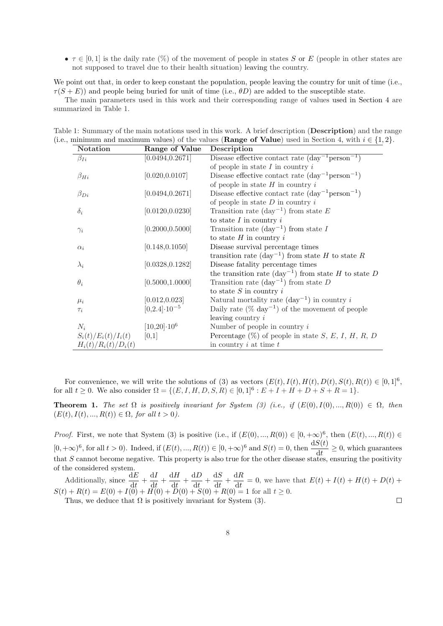•  $\tau \in [0,1]$  is the daily rate  $(\%)$  of the movement of people in states S or E (people in other states are not supposed to travel due to their health situation) leaving the country.

We point out that, in order to keep constant the population, people leaving the country for unit of time (i.e.,  $\tau(S+E)$ ) and people being buried for unit of time (i.e.,  $\theta D$ ) are added to the susceptible state.

The main parameters used in this work and their corresponding range of values used in Section 4 are summarized in Table 1.

| Notation               | Range of Value          | Description                                                          |
|------------------------|-------------------------|----------------------------------------------------------------------|
| $\beta_{Ii}$           | [0.0494, 0.2671]        | Disease effective contact rate $(\text{day}^{-1}\text{person}^{-1})$ |
|                        |                         | of people in state $I$ in country $i$                                |
| $\beta_{Hi}$           | [0.020, 0.0107]         | Disease effective contact rate $(\text{day}^{-1}\text{person}^{-1})$ |
|                        |                         | of people in state $H$ in country $i$                                |
| $\beta_{Di}$           | [0.0494, 0.2671]        | Disease effective contact rate $(\text{day}^{-1}\text{person}^{-1})$ |
|                        |                         | of people in state $D$ in country $i$                                |
| $\delta_i$             | [0.0120, 0.0230]        | Transition rate $(\text{day}^{-1})$ from state E                     |
|                        |                         | to state $I$ in country $i$                                          |
| $\gamma_i$             | [0.2000, 0.5000]        | Transition rate $(\text{day}^{-1})$ from state I                     |
|                        |                         | to state $H$ in country $i$                                          |
| $\alpha_i$             | [0.148, 0.1050]         | Disease survival percentage times                                    |
|                        |                         | transition rate $(\text{day}^{-1})$ from state H to state R          |
| $\lambda_i$            | [0.0328, 0.1282]        | Disease fatality percentage times                                    |
|                        |                         | the transition rate $(\text{day}^{-1})$ from state H to state D      |
| $\theta_i$             | [0.5000, 1.0000]        | Transition rate $(\text{day}^{-1})$ from state D                     |
|                        |                         | to state $S$ in country $i$                                          |
| $\mu_i$                | [0.012, 0.023]          | Natural mortality rate $(\text{day}^{-1})$ in country i              |
| $\tau_i$               | $[0,2.4] \cdot 10^{-5}$ | Daily rate $(\%$ day <sup>-1</sup> ) of the movement of people       |
|                        |                         | leaving country i                                                    |
| $N_i$                  | $[10, 20] \cdot 10^6$   | Number of people in country $i$                                      |
| $S_i(t)/E_i(t)/I_i(t)$ | [0,1]                   | Percentage $(\%)$ of people in state S, E, I, H, R, D                |
| $H_i(t)/R_i(t)/D_i(t)$ |                         | in country $i$ at time $t$                                           |

Table 1: Summary of the main notations used in this work. A brief description (Description) and the range (i.e., minimum and maximum values) of the values (**Range of Value**) used in Section 4, with  $i \in \{1,2\}$ .

For convenience, we will write the solutions of (3) as vectors  $(E(t), I(t), H(t), D(t), S(t), R(t)) \in [0, 1]^6$ , for all  $t \ge 0$ . We also consider  $\Omega = \{(E, I, H, D, S, R) \in [0, 1]^6 : E + I + H + D + S + R = 1\}.$ 

**Theorem 1.** *The set*  $\Omega$  *is positively invariant for System (3) (i.e., if (E(0), I(0), ..., R(0))*  $\in \Omega$ *, then*  $(E(t), I(t), ..., R(t)) \in \Omega$ , for all  $t > 0$ .

*Proof.* First, we note that System (3) is positive (i.e., if  $(E(0), ..., R(0)) \in [0, +\infty)^6$ , then  $(E(t), ..., R(t)) \in$  $[0, +\infty)^6$ , for all  $t > 0$ ). Indeed, if  $(E(t), ..., R(t)) \in [0, +\infty)^6$  and  $S(t) = 0$ , then  $\frac{dS(t)}{dt} \ge 0$ , which guarantees that  $S$  cannot become negative. This property is also true for the other disease states, ensuring the positivity of the considered system.

Additionally, since  $\frac{dE}{dt}$  $\frac{\mathrm{d}E}{\mathrm{d}t} + \frac{\mathrm{d}I}{\mathrm{d}t}$  $\frac{\mathrm{d}I}{\mathrm{d}t} + \frac{\mathrm{d}H}{\mathrm{d}t}$  $\frac{\mathrm{d}H}{\mathrm{d}t} + \frac{\mathrm{d}D}{\mathrm{d}t}$  $rac{dD}{dt} + \frac{dS}{dt}$  $\frac{\mathrm{d}S}{\mathrm{d}t} + \frac{\mathrm{d}R}{\mathrm{d}t}$  $\frac{d\mathbf{r}}{dt} = 0$ , we have that  $E(t) + I(t) + H(t) + D(t) +$  $S(t) + R(t) = E(0) + I(0) + H(0) + D(0) + S(0) + R(0) = 1$  for all  $t \ge 0$ .  $\Box$ 

8

Thus, we deduce that  $\Omega$  is positively invariant for System (3).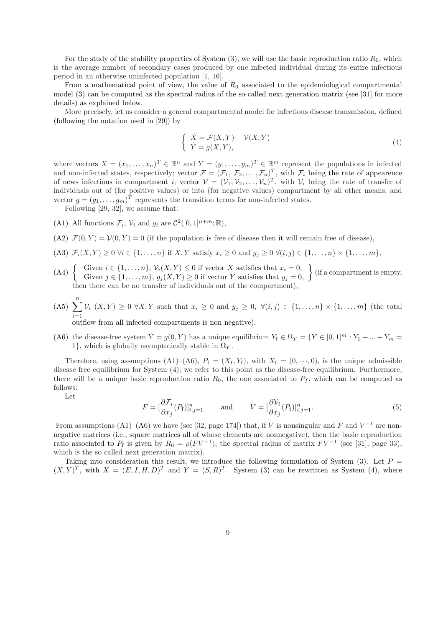For the study of the stability properties of System  $(3)$ , we will use the basic reproduction ratio  $R_0$ , which is the average number of secondary cases produced by one infected individual during its entire infectious period in an otherwise uninfected population [1, 16].

From a mathematical point of view, the value of  $R_0$  associated to the epidemiological compartmental model (3) can be computed as the spectral radius of the so-called next generation matrix (see [31] for more details) as explained below.

More precisely, let us consider a general compartmental model for infectious disease transmission, defined (following the notation used in [29]) by

$$
\begin{cases}\n\dot{X} = \mathcal{F}(X, Y) - \mathcal{V}(X, Y) \\
\dot{Y} = g(X, Y),\n\end{cases} \tag{4}
$$

where vectors  $X = (x_1, \ldots, x_n)^T \in \mathbb{R}^n$  and  $Y = (y_1, \ldots, y_m)^T \in \mathbb{R}^m$  represent the populations in infected and non-infected states, respectively; vector  $\mathcal{F} = (\mathcal{F}_1, \mathcal{F}_2, \ldots, \mathcal{F}_n)^T$ , with  $\mathcal{F}_i$  being the rate of appearence of news infections in compartment *i*; vector  $V = (V_1, V_2, \ldots, V_n)^T$ , with  $V_i$  being the rate of transfer of individuals out of (for positive values) or into (for negative values) compartment by all other means; and vector  $g = (g_1, \ldots, g_m)^T$  represents the transition terms for non-infected states.

Following [29, 32], we assume that:

- (A1) All functions  $\mathcal{F}_i$ ,  $\mathcal{V}_i$  and  $g_i$  are  $\mathcal{C}^2([0,1]^{n+m};\mathbb{R})$ ,
- (A2)  $\mathcal{F}(0, Y) = \mathcal{V}(0, Y) = 0$  (if the population is free of disease then it will remain free of disease),
- (A3)  $\mathcal{F}_i(X, Y) \ge 0 \ \forall i \in \{1, ..., n\}$  if X, Y satisfy  $x_i \ge 0$  and  $y_j \ge 0 \ \forall (i, j) \in \{1, ..., n\} \times \{1, ..., m\}$ ,
- (A4)  $\left\{\begin{array}{l}\text{Given } i \in \{1, \ldots, n\}, \, \mathcal{V}_i(X, Y) \leq 0 \text{ if vector } X \text{ satisfies that } x_i = 0, \\ \text{Given } j \in \{1, \ldots, m\}, \, g_j(X, Y) \geq 0 \text{ if vector } Y \text{ satisfies that } y_j = 0, \end{array}\right\}$  (if a compartment is empty, then there can be no transfer of individuals out of the compartment),
- $(A5) \sum_{n=1}^{\infty}$  $i=1$  $\mathcal{V}_i(X, Y) \geq 0 \ \forall X, Y$  such that  $x_i \geq 0$  and  $y_j \geq 0, \ \forall (i, j) \in \{1, \ldots, n\} \times \{1, \ldots, m\}$  (the total

outflow from all infected compartments is non negative),

(A6) the disease-free system  $\dot{Y} = g(0, Y)$  has a unique equilibrium  $Y_f \in \Omega_Y = \{Y \in [0, 1]^m : Y_1 + ... + Y_m = 1\}$ 1}, which is globally asymptotically stable in  $\Omega_Y$ .

Therefore, using assumptions (A1)–(A6),  $P_f = (X_f, Y_f)$ , with  $X_f = (0, \dots, 0)$ , is the unique admissible disease free equilibrium for System (4); we refer to this point as the disease-free equilibrium. Furthermore, there will be a unique basic reproduction ratio  $R_0$ , the one associated to  $P_f$ , which can be computed as follows:

Let

$$
F = \left[\frac{\partial \mathcal{F}_i}{\partial x_j}(P_f)\right]_{i,j=1}^n \quad \text{and} \quad V = \left[\frac{\partial \mathcal{V}_i}{\partial x_j}(P_f)\right]_{i,j=1}^n. \tag{5}
$$

From assumptions (A1)–(A6) we have (see [32, page 174]) that, if V is nonsingular and F and  $V^{-1}$  are nonnegative matrices (i.e., square matrices all of whose elements are nonnegative), then the basic reproduction ratio associated to  $P_f$  is given by  $R_0 = \rho (F V^{-1})$ , the spectral radius of matrix  $F V^{-1}$  (see [31], page 33), which is the so called next generation matrix).

Taking into consideration this result, we introduce the following formulation of System (3). Let  $P =$  $(X, Y)^T$ , with  $X = (E, I, H, D)^T$  and  $Y = (S, R)^T$ . System (3) can be rewritten as System (4), where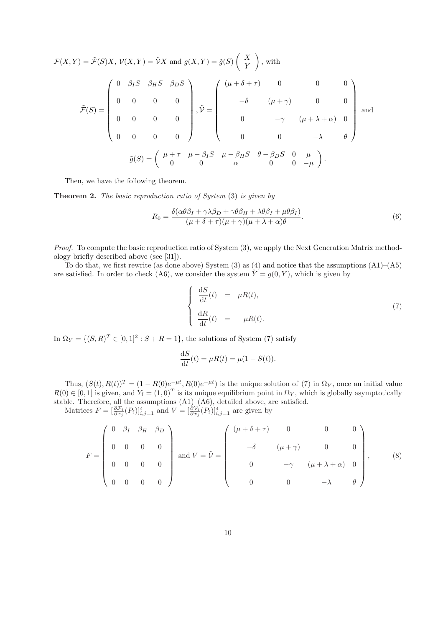$$
\mathcal{F}(X,Y) = \tilde{\mathcal{F}}(S)X, \mathcal{V}(X,Y) = \tilde{\mathcal{V}}X \text{ and } g(X,Y) = \tilde{g}(S) \begin{pmatrix} X \\ Y \end{pmatrix}, \text{ with}
$$
\n
$$
\tilde{\mathcal{F}}(S) = \begin{pmatrix} 0 & \beta_I S & \beta_I S & \beta_D S \\ 0 & 0 & 0 & 0 \\ 0 & 0 & 0 & 0 \\ 0 & 0 & 0 & 0 \end{pmatrix}, \tilde{\mathcal{V}} = \begin{pmatrix} (\mu + \delta + \tau) & 0 & 0 & 0 \\ -\delta & (\mu + \gamma) & 0 & 0 \\ 0 & -\gamma & (\mu + \lambda + \alpha) & 0 \\ 0 & 0 & -\lambda & \theta \end{pmatrix} \text{ and }
$$
\n
$$
\tilde{g}(S) = \begin{pmatrix} \mu + \tau & \mu - \beta_I S & \mu - \beta_H S & \theta - \beta_D S & 0 & \mu \\ 0 & 0 & \alpha & 0 & -\mu \end{pmatrix}.
$$

Then, we have the following theorem.

Theorem 2. *The basic reproduction ratio of System* (3) *is given by*

$$
R_0 = \frac{\delta(\alpha \theta \beta_I + \gamma \lambda \beta_D + \gamma \theta \beta_H + \lambda \theta \beta_I + \mu \theta \beta_I)}{(\mu + \delta + \tau)(\mu + \gamma)(\mu + \lambda + \alpha)\theta}.
$$
(6)

*Proof.* To compute the basic reproduction ratio of System (3), we apply the Next Generation Matrix methodology briefly described above (see [31]).

To do that, we first rewrite (as done above) System  $(3)$  as  $(4)$  and notice that the assumptions  $(A1)$ – $(A5)$ are satisfied. In order to check (A6), we consider the system  $\dot{Y} = g(0, Y)$ , which is given by

$$
\begin{cases}\n\frac{\mathrm{d}S}{\mathrm{d}t}(t) = \mu R(t), \\
\frac{\mathrm{d}R}{\mathrm{d}t}(t) = -\mu R(t).\n\end{cases}
$$
\n(7)

In  $\Omega_Y = \{ (S, R)^T \in [0, 1]^2 : S + R = 1 \}$ , the solutions of System (7) satisfy

$$
\frac{\mathrm{d}S}{\mathrm{d}t}(t) = \mu R(t) = \mu (1 - S(t)).
$$

Thus,  $(S(t), R(t))^T = (1 - R(0)e^{-\mu t}, R(0)e^{-\mu t})$  is the unique solution of (7) in  $\Omega_Y$ , once an initial value  $R(0) \in [0,1]$  is given, and  $Y_f = (1,0)^T$  is its unique equilibrium point in  $\Omega_Y$ , which is globally asymptotically stable. Therefore, all the assumptions  $(A1)$ – $(A6)$ , detailed above, are satisfied. Matrices  $F = \left[\frac{\partial \mathcal{F}_i}{\partial x_j}(P_f)\right]_{i,j=1}^4$  and  $V = \left[\frac{\partial V_i}{\partial x_j}(P_f)\right]_{i,j=1}^4$  are given by

$$
F = \begin{pmatrix} 0 & \beta_I & \beta_H & \beta_D \\ 0 & 0 & 0 & 0 \\ 0 & 0 & 0 & 0 \\ 0 & 0 & 0 & 0 \end{pmatrix} \text{ and } V = \tilde{\mathcal{V}} = \begin{pmatrix} (\mu + \delta + \tau) & 0 & 0 & 0 \\ -\delta & (\mu + \gamma) & 0 & 0 \\ 0 & -\gamma & (\mu + \lambda + \alpha) & 0 \\ 0 & 0 & -\lambda & \theta \end{pmatrix}, \quad (8)
$$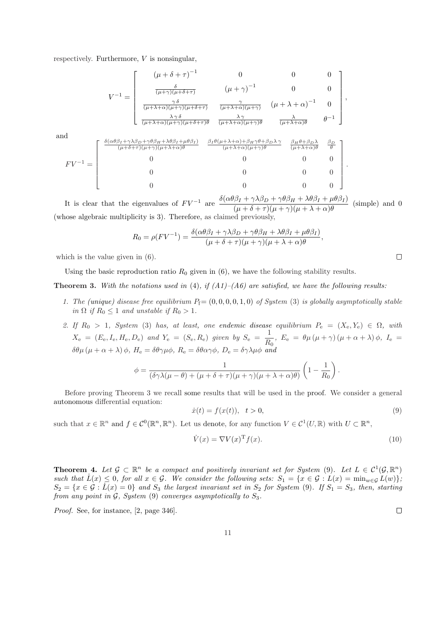respectively. Furthermore,  $V$  is nonsingular,

$$
V^{-1} = \begin{bmatrix} (\mu + \delta + \tau)^{-1} & 0 & 0 & 0 \\ \frac{\delta}{(\mu + \gamma)(\mu + \delta + \tau)} & (\mu + \gamma)^{-1} & 0 & 0 \\ \frac{\gamma \delta}{(\mu + \lambda + \alpha)(\mu + \gamma)(\mu + \delta + \tau)} & \frac{\gamma}{(\mu + \lambda + \alpha)(\mu + \gamma)} & (\mu + \lambda + \alpha)^{-1} & 0 \\ \frac{\lambda \gamma \delta}{(\mu + \lambda + \alpha)(\mu + \gamma)(\mu + \delta + \tau)} & \frac{\lambda \gamma}{(\mu + \lambda + \alpha)(\mu + \gamma)} & \frac{\lambda}{(\mu + \lambda + \alpha)\theta} & \theta^{-1} \end{bmatrix},
$$
  
= 
$$
\begin{bmatrix} \frac{\delta(\alpha \beta_1 + \gamma \lambda \beta_D + \gamma \theta \beta_H + \lambda \theta \beta_I + \mu \theta \beta_I)}{(\mu + \lambda + \alpha)(\mu + \gamma)(\mu + \lambda + \alpha)\theta} & \frac{\beta_I \theta (\mu + \lambda + \alpha) + \beta_H \gamma \theta + \beta_D \lambda \gamma}{(\mu + \lambda + \alpha)(\mu + \gamma)\theta} & \frac{\beta_H \theta + \beta_D \lambda}{(\mu + \lambda + \alpha)\theta} & \frac{\beta_D}{\theta} \\ 0 & 0 & 0 & 0 \\ 0 & 0 & 0 & 0 \end{bmatrix}.
$$

It is clear that the eigenvalues of  $FV^{-1}$  are  $\frac{\delta(\alpha\theta\beta_I + \gamma\lambda\beta_D + \gamma\theta\beta_H + \lambda\theta\beta_I + \mu\theta\beta_I)}{\beta(\alpha\beta_I + \beta\beta_I + \gamma\theta\beta_I + \lambda\theta\beta_I + \mu\theta\beta_I)}$  $(\mu + \delta + \tau)(\mu + \gamma)(\mu + \lambda + \alpha)\theta$ (simple) and 0 (whose algebraic multiplicity is 3). Therefore, as claimed previously,

$$
R_0 = \rho (F V^{-1}) = \frac{\delta(\alpha \theta \beta_I + \gamma \lambda \beta_D + \gamma \theta \beta_H + \lambda \theta \beta_I + \mu \theta \beta_I)}{(\mu + \delta + \tau)(\mu + \gamma)(\mu + \lambda + \alpha)\theta}
$$

which is the value given in (6).

and

 $F V^{-1}$ 

Using the basic reproduction ratio  $R_0$  given in (6), we have the following stability results.

Theorem 3. *With the notations used in* (4)*, if (A1)–(A6) are satisfied, we have the following results:*

- 1. The (unique) disease free equilibrium  $P_f=(0,0,0,0,1,0)$  of System (3) is globally asymptotically stable *in*  $\Omega$  *if*  $R_0 \leq 1$  *and unstable if*  $R_0 > 1$ *.*
- *2.* If  $R_0 > 1$ , System (3) has, at least, one endemic disease equilibrium  $P_e = (X_e, Y_e) \in \Omega$ , with  $X_e = (E_e, I_e, H_e, D_e)$  and  $Y_e = (S_e, R_e)$  given by  $S_e = \frac{1}{R_e}$  $\frac{1}{R_0}$ ,  $E_e = \theta \mu (\mu + \gamma) (\mu + \alpha + \lambda) \phi$ ,  $I_e =$  $\delta\theta\mu\left(\mu+\alpha+\lambda\right)\phi$ ,  $H_e = \delta\theta\gamma\mu\phi$ ,  $R_e = \delta\theta\alpha\gamma\phi$ ,  $D_e = \delta\gamma\lambda\mu\phi$  and

$$
\phi = \frac{1}{(\delta \gamma \lambda (\mu - \theta) + (\mu + \delta + \tau)(\mu + \gamma)(\mu + \lambda + \alpha)\theta)} \left(1 - \frac{1}{R_0}\right).
$$

Before proving Theorem 3 we recall some results that will be used in the proof. We consider a general autonomous differential equation:

$$
\dot{x}(t) = f(x(t)), \quad t > 0,
$$
\n(9)

,

such that  $x \in \mathbb{R}^n$  and  $f \in C^0(\mathbb{R}^n, \mathbb{R}^n)$ . Let us denote, for any function  $V \in C^1(U, \mathbb{R})$  with  $U \subset \mathbb{R}^n$ ,

$$
\dot{V}(x) = \nabla V(x)^{\mathrm{T}} f(x). \tag{10}
$$

**Theorem 4.** Let  $\mathcal{G} \subset \mathbb{R}^n$  be a compact and positively invariant set for System (9). Let  $L \in C^1(\mathcal{G}, \mathbb{R}^n)$ *such that*  $\dot{L}(x) \leq 0$ *, for all*  $x \in \mathcal{G}$ *. We consider the following sets:*  $S_1 = \{x \in \mathcal{G} : L(x) = \min_{w \in \mathcal{G}} L(w)\}$ ;  $S_2 = \{x \in \mathcal{G} : L(x) = 0\}$  and  $S_3$  the largest invariant set in  $S_2$  for System (9). If  $S_1 = S_3$ , then, starting *from any point in* G*, System* (9) *converges asymptotically to* S3*.*

*Proof.* See, for instance, [2, page 346].

 $\Box$ 

 $\Box$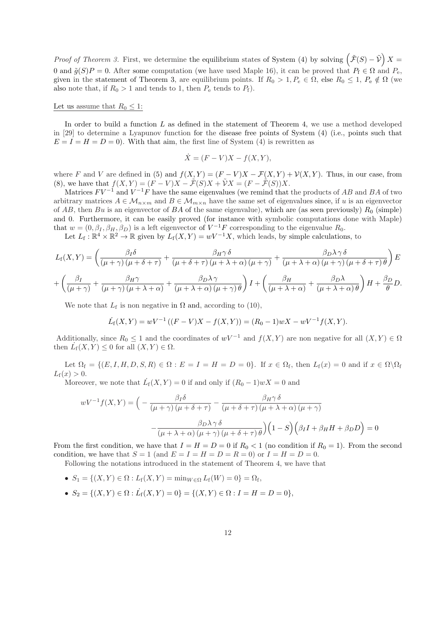*Proof of Theorem 3.* First, we determine the equilibrium states of System (4) by solving  $(\tilde{\mathcal{F}}(S) - \tilde{\mathcal{V}}) X =$ 0 and  $\tilde{g}(S)P = 0$ . After some computation (we have used Maple 16), it can be proved that  $P_f \in \Omega$  and  $P_e$ . given in the statement of Theorem 3, are equilibrium points. If  $R_0 > 1, P_e \in \Omega$ , else  $R_0 \leq 1, P_e \notin \Omega$  (we also note that, if  $R_0 > 1$  and tends to 1, then  $P_e$  tends to  $P_f$ ).

#### Let us assume that  $R_0 \leq 1$ :

In order to build a function  $L$  as defined in the statement of Theorem 4, we use a method developed in [29] to determine a Lyapunov function for the disease free points of System (4) (i.e., points such that  $E = I = H = D = 0$ . With that aim, the first line of System (4) is rewritten as

$$
\dot{X} = (F - V)X - f(X, Y),
$$

where F and V are defined in (5) and  $f(X, Y) = (F - V)X - \mathcal{F}(X, Y) + \mathcal{V}(X, Y)$ . Thus, in our case, from (8), we have that  $f(X, Y) = (F - V)X - \tilde{\mathcal{F}}(S)X + \tilde{V}X = (F - \tilde{\mathcal{F}}(S))X$ .

Matrices  $FV^{-1}$  and  $V^{-1}F$  have the same eigenvalues (we remind that the products of AB and BA of two arbitrary matrices  $A \in \mathcal{M}_{n \times m}$  and  $B \in \mathcal{M}_{m \times n}$  have the same set of eigenvalues since, if u is an eigenvector of AB, then Bu is an eigenvector of BA of the same eigenvalue), which are (as seen previously)  $R_0$  (simple) and 0. Furthermore, it can be easily proved (for instance with symbolic computations done with Maple) that  $w = (0, \beta_I, \beta_H, \beta_D)$  is a left eigenvector of  $V^{-1}F$  corresponding to the eigenvalue  $R_0$ .

Let  $L_f: \mathbb{R}^4 \times \mathbb{R}^2 \to \mathbb{R}$  given by  $L_f(X, Y) = wV^{-1}X$ , which leads, by simple calculations, to

$$
L_{\rm f}(X,Y) = \left(\frac{\beta_I \delta}{(\mu + \gamma)(\mu + \delta + \tau)} + \frac{\beta_{H}\gamma \delta}{(\mu + \delta + \tau)(\mu + \lambda + \alpha)(\mu + \gamma)} + \frac{\beta_{D}\lambda \gamma \delta}{(\mu + \lambda + \alpha)(\mu + \gamma)(\mu + \delta + \tau)\theta}\right)E
$$
  
+ 
$$
\left(\frac{\beta_I}{(\mu + \gamma)} + \frac{\beta_{H}\gamma}{(\mu + \gamma)(\mu + \lambda + \alpha)} + \frac{\beta_{D}\lambda \gamma}{(\mu + \lambda + \alpha)(\mu + \gamma)\theta}\right)I + \left(\frac{\beta_{H}}{(\mu + \lambda + \alpha)} + \frac{\beta_{D}\lambda}{(\mu + \lambda + \alpha)\theta}\right)H + \frac{\beta_{D}}{\theta}D.
$$

We note that  $L_f$  is non negative in  $\Omega$  and, according to (10),

$$
\dot{L}_{\rm f}(X,Y) = wV^{-1}((F-V)X - f(X,Y)) = (R_0 - 1)wX - wV^{-1}f(X,Y).
$$

Additionally, since  $R_0 \leq 1$  and the coordinates of  $wV^{-1}$  and  $f(X, Y)$  are non negative for all  $(X, Y) \in \Omega$ then  $\dot{L}_{\rm f}(X,Y) \leq 0$  for all  $(X,Y) \in \Omega$ .

Let  $\Omega_f = \{(E, I, H, D, S, R) \in \Omega : E = I = H = D = 0\}$ . If  $x \in \Omega_f$ , then  $L_f(x) = 0$  and if  $x \in \Omega \setminus \Omega_f$  $L_{\rm f}(x) > 0.$ 

Moreover, we note that  $\dot{L}_f(X, Y) = 0$  if and only if  $(R_0 - 1)wX = 0$  and

$$
wV^{-1}f(X,Y) = \left(-\frac{\beta_I \delta}{(\mu + \gamma)(\mu + \delta + \tau)} - \frac{\beta_H \gamma \delta}{(\mu + \delta + \tau)(\mu + \lambda + \alpha)(\mu + \gamma)} - \frac{\beta_D \lambda \gamma \delta}{(\mu + \lambda + \alpha)(\mu + \gamma)(\mu + \delta + \tau)\theta}\right)\left(1 - S\right)\left(\beta_I I + \beta_H H + \beta_D D\right) = 0
$$

From the first condition, we have that  $I = H = D = 0$  if  $R_0 < 1$  (no condition if  $R_0 = 1$ ). From the second condition, we have that  $S = 1$  (and  $E = I = H = D = R = 0$ ) or  $I = H = D = 0$ .

Following the notations introduced in the statement of Theorem 4, we have that

• 
$$
S_1 = \{(X, Y) \in \Omega : L_f(X, Y) = \min_{W \in \Omega} L_f(W) = 0\} = \Omega_f
$$
,

•  $S_2 = \{(X, Y) \in \Omega : L_f(X, Y) = 0\} = \{(X, Y) \in \Omega : I = H = D = 0\},\$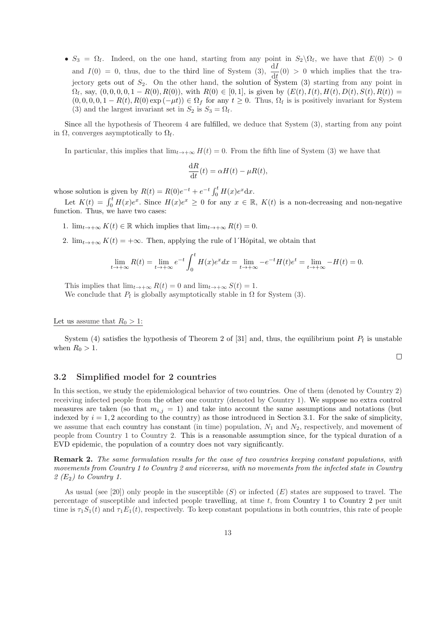•  $S_3 = \Omega_f$ . Indeed, on the one hand, starting from any point in  $S_2 \setminus \Omega_f$ , we have that  $E(0) > 0$ and  $I(0) = 0$ , thus, due to the third line of System (3),  $\frac{dI}{dt}(0) > 0$  which implies that the trajectory gets out of  $S_2$ . On the other hand, the solution of System (3) starting from any point in  $\Omega_f$ , say,  $(0, 0, 0, 0, 1 - R(0), R(0))$ , with  $R(0) \in [0, 1]$ , is given by  $(E(t), I(t), H(t), D(t), S(t), R(t)) =$  $(0, 0, 0, 0, 1 - R(t), R(0) \exp(-\mu t)) \in \Omega_f$  for any  $t \geq 0$ . Thus,  $\Omega_f$  is is positively invariant for System (3) and the largest invariant set in  $S_2$  is  $S_3 = \Omega_f$ .

Since all the hypothesis of Theorem 4 are fulfilled, we deduce that System (3), starting from any point in  $\Omega$ , converges asymptotically to  $\Omega_{\rm f}$ .

In particular, this implies that  $\lim_{t\to+\infty} H(t) = 0$ . From the fifth line of System (3) we have that

$$
\frac{\mathrm{d}R}{\mathrm{d}t}(t) = \alpha H(t) - \mu R(t),
$$

whose solution is given by  $R(t) = R(0)e^{-t} + e^{-t} \int_0^t H(x)e^{x} dx$ .

Let  $K(t) = \int_0^t H(x)e^x$ . Since  $H(x)e^x \ge 0$  for any  $x \in \mathbb{R}$ ,  $K(t)$  is a non-decreasing and non-negative function. Thus, we have two cases:

- 1.  $\lim_{t\to+\infty} K(t) \in \mathbb{R}$  which implies that  $\lim_{t\to+\infty} R(t) = 0$ .
- 2.  $\lim_{t\to+\infty} K(t) = +\infty$ . Then, applying the rule of l'Hôpital, we obtain that

$$
\lim_{t \to +\infty} R(t) = \lim_{t \to +\infty} e^{-t} \int_0^t H(x) e^x dx = \lim_{t \to +\infty} -e^{-t} H(t) e^t = \lim_{t \to +\infty} -H(t) = 0.
$$

This implies that  $\lim_{t\to+\infty} R(t) = 0$  and  $\lim_{t\to+\infty} S(t) = 1$ . We conclude that  $P_f$  is globally asymptotically stable in  $\Omega$  for System (3).

Let us assume that  $R_0 > 1$ :

System (4) satisfies the hypothesis of Theorem 2 of [31] and, thus, the equilibrium point  $P_f$  is unstable when  $R_0 > 1$ .

 $\Box$ 

#### 3.2 Simplified model for 2 countries

In this section, we study the epidemiological behavior of two countries. One of them (denoted by Country 2) receiving infected people from the other one country (denoted by Country 1). We suppose no extra control measures are taken (so that  $m_{i,j} = 1$ ) and take into account the same assumptions and notations (but indexed by  $i = 1, 2$  according to the country) as those introduced in Section 3.1. For the sake of simplicity, we assume that each country has constant (in time) population,  $N_1$  and  $N_2$ , respectively, and movement of people from Country 1 to Country 2. This is a reasonable assumption since, for the typical duration of a EVD epidemic, the population of a country does not vary significantly.

Remark 2. *The same formulation results for the case of two countries keeping constant populations, with movements from Country 1 to Country 2 and viceversa, with no movements from the infected state in Country 2 (*E2*) to Country 1.*

As usual (see [20]) only people in the susceptible  $(S)$  or infected  $(E)$  states are supposed to travel. The percentage of susceptible and infected people travelling, at time t, from Country 1 to Country 2 per unit time is  $\tau_1S_1(t)$  and  $\tau_1E_1(t)$ , respectively. To keep constant populations in both countries, this rate of people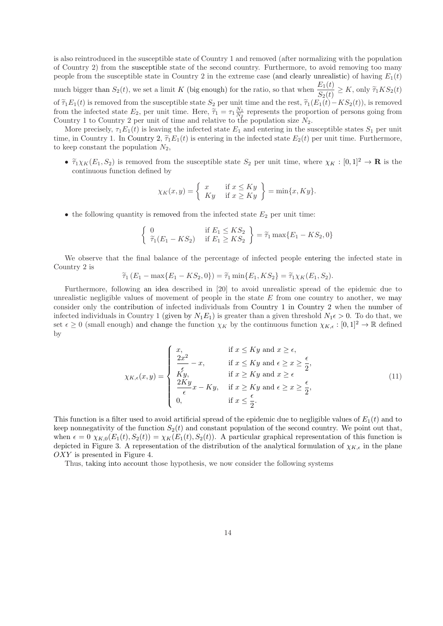is also reintroduced in the susceptible state of Country 1 and removed (after normalizing with the population of Country 2) from the susceptible state of the second country. Furthermore, to avoid removing too many people from the susceptible state in Country 2 in the extreme case (and clearly unrealistic) of having  $E_1(t)$ much bigger than  $S_2(t)$ , we set a limit K (big enough) for the ratio, so that when  $\frac{E_1(t)}{S_2(t)} \ge K$ , only  $\widetilde{\tau}_1KS_2(t)$ of  $\tilde{\tau}_1E_1(t)$  is removed from the susceptible state  $S_2$  per unit time and the rest,  $\tilde{\tau}_1(E_1(t)-KS_2(t))$ , is removed from the infected state  $E_2$ , per unit time. Here,  $\tilde{\tau}_1 = \tau_1 \frac{N_1}{N_2}$  represents the proportion of persons going from

Country 1 to Country 2 per unit of time and relative to the population size  $N_2$ . More precisely,  $\tau_1 E_1(t)$  is leaving the infected state  $E_1$  and entering in the susceptible states  $S_1$  per unit time, in Country 1. In Country 2,  $\tilde{\tau}_1 E_1(t)$  is entering in the infected state  $E_2(t)$  per unit time. Furthermore, to keep constant the population  $N_2$ ,

•  $\tilde{\tau}_1 \chi_K(E_1, S_2)$  is removed from the susceptible state  $S_2$  per unit time, where  $\chi_K : [0, 1]^2 \to \mathbf{R}$  is the continuous function defined by

$$
\chi_K(x,y) = \begin{cases} x & \text{if } x \le Ky \\ Ky & \text{if } x \ge Ky \end{cases} = \min\{x,Ky\}.
$$

• the following quantity is removed from the infected state  $E_2$  per unit time:

$$
\left\{\n\begin{array}{ll}\n0 & \text{if } E_1 \leq KS_2 \\
\tilde{\tau}_1(E_1 - KS_2) & \text{if } E_1 \geq KS_2\n\end{array}\n\right\} = \tilde{\tau}_1 \max\{E_1 - KS_2, 0\}
$$

We observe that the final balance of the percentage of infected people entering the infected state in Country 2 is

$$
\tilde{\tau}_1(E_1 - \max\{E_1 - KS_2, 0\}) = \tilde{\tau}_1 \min\{E_1, KS_2\} = \tilde{\tau}_1 \chi_K(E_1, S_2).
$$

Furthermore, following an idea described in [20] to avoid unrealistic spread of the epidemic due to unrealistic negligible values of movement of people in the state  $E$  from one country to another, we may consider only the contribution of infected individuals from Country 1 in Country 2 when the number of infected individuals in Country 1 (given by  $N_1E_1$ ) is greater than a given threshold  $N_1\epsilon > 0$ . To do that, we set  $\epsilon \geq 0$  (small enough) and change the function  $\chi_K$  by the continuous function  $\chi_{K,\epsilon} : [0,1]^2 \to \mathbb{R}$  defined by

$$
\chi_{K,\epsilon}(x,y) = \begin{cases}\nx, & \text{if } x \le Ky \text{ and } x \ge \epsilon, \\
\frac{2x^2}{\epsilon} - x, & \text{if } x \le Ky \text{ and } \epsilon \ge x \ge \frac{\epsilon}{2}, \\
\frac{Ky}{xy}, & \text{if } x \ge Ky \text{ and } x \ge \epsilon \\
\frac{2Ky}{\epsilon}x - Ky, & \text{if } x \ge Ky \text{ and } \epsilon \ge x \ge \frac{\epsilon}{2}, \\
0, & \text{if } x \le \frac{\epsilon}{2}.\n\end{cases}
$$
\n(11)

This function is a filter used to avoid artificial spread of the epidemic due to negligible values of  $E_1(t)$  and to keep nonnegativity of the function  $S_2(t)$  and constant population of the second country. We point out that, when  $\epsilon = 0$   $\chi_{K,0}(E_1(t), S_2(t)) = \chi_K(E_1(t), S_2(t))$ . A particular graphical representation of this function is depicted in Figure 3. A representation of the distribution of the analytical formulation of  $\chi_{K,\epsilon}$  in the plane OXY is presented in Figure 4.

Thus, taking into account those hypothesis, we now consider the following systems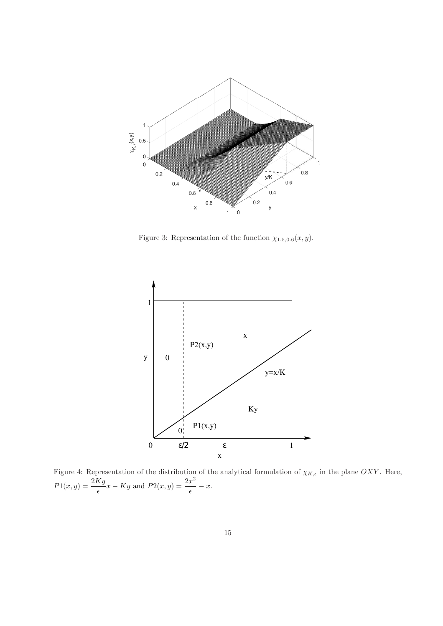

Figure 3: Representation of the function  $\chi_{1.5,0.6}(x, y)$ .



Figure 4: Representation of the distribution of the analytical formulation of  $\chi_{K,\epsilon}$  in the plane OXY. Here,  $P1(x,y) = \frac{2Ky}{\epsilon}x - Ky$  and  $P2(x,y) = \frac{2x^2}{\epsilon}$  $\frac{z}{\epsilon}$  - x.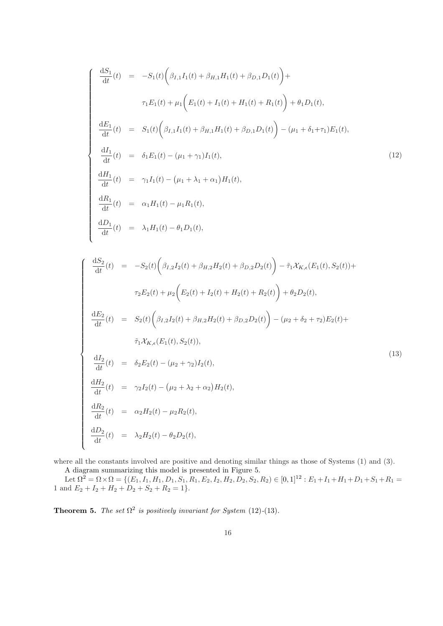$$
\begin{cases}\n\frac{dS_1}{dt}(t) = -S_1(t)\left(\beta_{I,1}I_1(t) + \beta_{H,1}H_1(t) + \beta_{D,1}D_1(t)\right) + \\
\tau_1E_1(t) + \mu_1\left(E_1(t) + I_1(t) + H_1(t) + R_1(t)\right) + \theta_1D_1(t), \\
\frac{dE_1}{dt}(t) = S_1(t)\left(\beta_{I,1}I_1(t) + \beta_{H,1}H_1(t) + \beta_{D,1}D_1(t)\right) - (\mu_1 + \delta_1 + \tau_1)E_1(t), \\
\frac{dI_1}{dt}(t) = \delta_1E_1(t) - (\mu_1 + \gamma_1)I_1(t), \\
\frac{dH_1}{dt}(t) = \gamma_1I_1(t) - (\mu_1 + \lambda_1 + \alpha_1)H_1(t), \\
\frac{dR_1}{dt}(t) = \alpha_1H_1(t) - \mu_1R_1(t), \\
\frac{dD_1}{dt}(t) = \lambda_1H_1(t) - \theta_1D_1(t),\n\end{cases}
$$
\n(12)

$$
\begin{cases}\n\frac{dS_2}{dt}(t) = -S_2(t)\left(\beta_{I,2}I_2(t) + \beta_{H,2}H_2(t) + \beta_{D,2}D_2(t)\right) - \tilde{\tau}_1 \mathcal{X}_{K,\epsilon}(E_1(t), S_2(t)) + \\
& \tau_2 E_2(t) + \mu_2 \left(E_2(t) + I_2(t) + H_2(t) + R_2(t)\right) + \theta_2 D_2(t), \\
\frac{dE_2}{dt}(t) = S_2(t)\left(\beta_{I,2}I_2(t) + \beta_{H,2}H_2(t) + \beta_{D,2}D_2(t)\right) - (\mu_2 + \delta_2 + \tau_2)E_2(t) + \\
& \tilde{\tau}_1 \mathcal{X}_{K,\epsilon}(E_1(t), S_2(t)), \\
\frac{dI_2}{dt}(t) = \delta_2 E_2(t) - (\mu_2 + \gamma_2)I_2(t), \\
\frac{dH_2}{dt}(t) = \gamma_2 I_2(t) - (\mu_2 + \lambda_2 + \alpha_2)H_2(t), \\
\frac{dR_2}{dt}(t) = \alpha_2 H_2(t) - \mu_2 R_2(t), \\
\frac{dD_2}{dt}(t) = \lambda_2 H_2(t) - \theta_2 D_2(t),\n\end{cases}
$$
\n(13)

where all the constants involved are positive and denoting similar things as those of Systems  $(1)$  and  $(3)$ .

A diagram summarizing this model is presented in Figure 5. Let  $\Omega^2 = \Omega \times \Omega = \{ (E_1, I_1, H_1, D_1, S_1, R_1, E_2, I_2, H_2, D_2, S_2, R_2) \in [0, 1]^{12} : E_1 + I_1 + H_1 + D_1 + S_1 + R_1 =$ 1 and  $E_2 + I_2 + H_2 + D_2 + S_2 + R_2 = 1$ .

**Theorem 5.** *The set*  $\Omega^2$  *is positively invariant for System* (12)-(13)*.*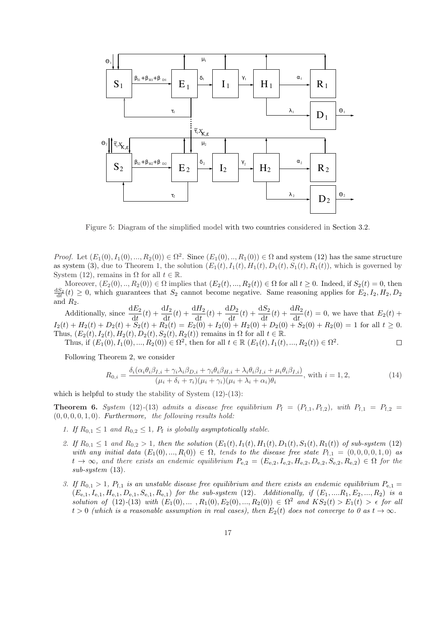

Figure 5: Diagram of the simplified model with two countries considered in Section 3.2.

*Proof.* Let  $(E_1(0), I_1(0), ..., R_2(0)) \in \Omega^2$ . Since  $(E_1(0), ..., R_1(0)) \in \Omega$  and system (12) has the same structure as system (3), due to Theorem 1, the solution  $(E_1(t), I_1(t), H_1(t), D_1(t), S_1(t), R_1(t))$ , which is governed by System (12), remains in  $\Omega$  for all  $t \in \mathbb{R}$ .

Moreover,  $(E_2(0),...,R_2(0)) \in \Omega$  implies that  $(E_2(t),...,R_2(t)) \in \Omega$  for all  $t \geq 0$ . Indeed, if  $S_2(t) = 0$ , then  $\frac{dS_2}{dt}(t) \geq 0$ , which guarantees that  $S_2$  cannot become negative. Same reasoning applies for  $E_2, I_2, H_2, D_2$ and  $R_2$ .

Additionally, since  $\frac{dE_2}{dt}(t) + \frac{dI_2}{dt}(t) + \frac{dH_2}{dt}(t) + \frac{dD_2}{dt}(t) + \frac{dS_2}{dt}(t) + \frac{dR_2}{dt}(t) = 0$ , we have that  $E_2(t) +$  $I_2(t) + H_2(t) + D_2(t) + S_2(t) + R_2(t) = E_2(0) + I_2(0) + H_2(0) + D_2(0) + S_2(0) + R_2(0) = 1$  for all  $t \ge 0$ . Thus,  $(E_2(t), I_2(t), H_2(t), D_2(t), S_2(t), R_2(t))$  remains in  $\Omega$  for all  $t \in \mathbb{R}$ . Thus, if  $(E_1(0), I_1(0), ..., R_2(0)) \in \Omega^2$ , then for all  $t \in \mathbb{R}$   $(E_1(t), I_1(t), ..., R_2(t)) \in \Omega^2$ .  $\Box$ 

Following Theorem 2, we consider

$$
R_{0,i} = \frac{\delta_i(\alpha_i \theta_i \beta_{I,i} + \gamma_i \lambda_i \beta_{D,i} + \gamma_i \theta_i \beta_{H,i} + \lambda_i \theta_i \beta_{I,i} + \mu_i \theta_i \beta_{I,i})}{(\mu_i + \delta_i + \tau_i)(\mu_i + \gamma_i)(\mu_i + \lambda_i + \alpha_i)\theta_i},
$$
 with  $i = 1, 2,$  (14)

which is helpful to study the stability of System  $(12)-(13)$ :

**Theorem 6.** System (12)-(13) admits a disease free equilibrium  $P_f = (P_{f,1}, P_{f,2})$ , with  $P_{f,1} = P_{f,2}$ (0, 0, 0, 0, 1, 0)*. Furthermore, the following results hold:*

- 1. If  $R_{0,1} \leq 1$  and  $R_{0,2} \leq 1$ ,  $P_f$  is globally asymptotically stable.
- 2. If  $R_{0,1} \leq 1$  and  $R_{0,2} > 1$ , then the solution  $(E_1(t), I_1(t), H_1(t), D_1(t), S_1(t), R_1(t))$  of sub-system (12) *with any initial data*  $(E_1(0), ..., R_0(0)) \in \Omega$ , *tends to the disease free state*  $P_{f,1} = (0, 0, 0, 0, 1, 0)$  *as*  $t \to \infty$ , and there exists an endemic equilibrium  $P_{e,2} = (E_{e,2}, I_{e,2}, H_{e,2}, D_{e,2}, S_{e,2}, R_{e,2}) \in \Omega$  for the *sub-system* (13)*.*
- *3.* If  $R_{0,1} > 1$ ,  $P_{f,1}$  is an unstable disease free equilibrium and there exists an endemic equilibrium  $P_{e,1} =$  $(E_{e,1}, I_{e,1}, H_{e,1}, D_{e,1}, S_{e,1}, R_{e,1})$  *for the sub-system* (12)*. Additionally, if*  $(E_1, ..., R_1, E_2, ..., R_2)$  *is a solution of* (12)-(13) *with*  $(E_1(0),...,E_1(0),E_2(0),...,E_2(0)) \in \Omega^2$  *and*  $KS_2(t) > E_1(t) > \epsilon$  *for all*  $t > 0$  (which is a reasonable assumption in real cases), then  $E_2(t)$  does not converge to 0 as  $t \to \infty$ .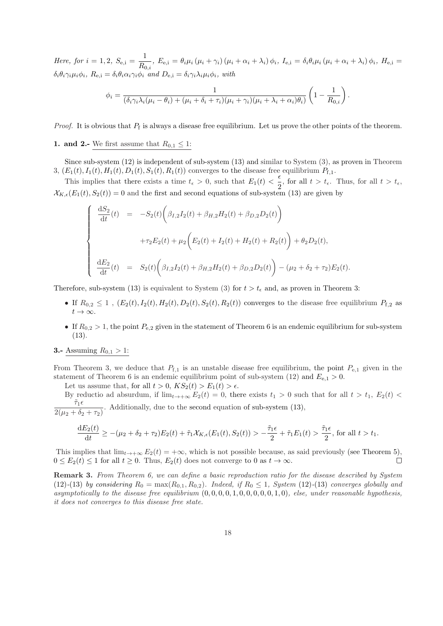*Here, for*  $i = 1, 2, S_{e,i} = \frac{1}{R}$  $\frac{1}{R_{0,i}}$ ,  $E_{e,i} = \theta_i \mu_i (\mu_i + \gamma_i) (\mu_i + \alpha_i + \lambda_i) \phi_i$ ,  $I_{e,i} = \delta_i \theta_i \mu_i (\mu_i + \alpha_i + \lambda_i) \phi_i$ ,  $H_{e,i} =$  $\delta_i \theta_i \gamma_i \mu_i \phi_i$ *,*  $R_{e,i} = \delta_i \theta_i \alpha_i \gamma_i \phi_i$  *and*  $D_{e,i} = \delta_i \gamma_i \lambda_i \mu_i \phi_i$ *, with* 

$$
\phi_i = \frac{1}{(\delta_i \gamma_i \lambda_i (\mu_i - \theta_i) + (\mu_i + \delta_i + \tau_i)(\mu_i + \gamma_i)(\mu_i + \lambda_i + \alpha_i)\theta_i)} \left(1 - \frac{1}{R_{0,i}}\right).
$$

*Proof.* It is obvious that  $P_f$  is always a disease free equilibrium. Let us prove the other points of the theorem.

#### 1. and 2.- We first assume that  $R_{0,1} \leq 1$ :

Since sub-system (12) is independent of sub-system (13) and similar to System (3), as proven in Theorem 3,  $(E_1(t), I_1(t), H_1(t), D_1(t), S_1(t), R_1(t))$  converges to the disease free equilibrium  $P_{f,1}$ .

This implies that there exists a time  $t_{\epsilon} > 0$ , such that  $E_1(t) < \frac{\epsilon}{2}$  $\frac{1}{2}$ , for all  $t > t_{\epsilon}$ . Thus, for all  $t > t_{\epsilon}$ ,  $\mathcal{X}_{K,\epsilon}(E_1(t), S_2(t)) = 0$  and the first and second equations of sub-system (13) are given by

$$
\begin{cases}\n\frac{dS_2}{dt}(t) = -S_2(t)\left(\beta_{I,2}I_2(t) + \beta_{H,2}H_2(t) + \beta_{D,2}D_2(t)\right) \\
+ \tau_2 E_2(t) + \mu_2 \left(E_2(t) + I_2(t) + H_2(t) + R_2(t)\right) + \theta_2 D_2(t), \\
\frac{dE_2}{dt}(t) = S_2(t)\left(\beta_{I,2}I_2(t) + \beta_{H,2}H_2(t) + \beta_{D,2}D_2(t)\right) - (\mu_2 + \delta_2 + \tau_2)E_2(t).\n\end{cases}
$$

Therefore, sub-system (13) is equivalent to System (3) for  $t > t_{\epsilon}$  and, as proven in Theorem 3:

- If  $R_{0,2} \leq 1$ ,  $(E_2(t), I_2(t), H_2(t), D_2(t), S_2(t), R_2(t))$  converges to the disease free equilibrium  $P_{f,2}$  as  $t\to\infty$ .
- If  $R_{0,2} > 1$ , the point  $P_{e,2}$  given in the statement of Theorem 6 is an endemic equilibrium for sub-system (13).

#### **3.-** Assuming  $R_{0,1} > 1$ :

From Theorem 3, we deduce that  $P_{f,1}$  is an unstable disease free equilibrium, the point  $P_{e,1}$  given in the statement of Theorem 6 is an endemic equilibrium point of sub-system (12) and  $E_{e,1} > 0$ .

Let us assume that, for all  $t > 0$ ,  $KS_2(t) > E_1(t) > \epsilon$ .

By reductio ad absurdum, if  $\lim_{t\to+\infty} E_2(t) = 0$ , there exists  $t_1 > 0$  such that for all  $t > t_1$ ,  $E_2(t) <$  $\tilde{\tau}_1 \epsilon$  $\frac{12}{2(\mu_2 + \delta_2 + \tau_2)}$ . Additionally, due to the second equation of sub-system (13),

$$
\frac{\mathrm{d}E_2(t)}{\mathrm{d}t}\geq-(\mu_2+\delta_2+\tau_2)E_2(t)+\tilde{\tau}_1\mathcal{X}_{K,\epsilon}(E_1(t),S_2(t))>-\frac{\tilde{\tau}_1\epsilon}{2}+\tilde{\tau}_1E_1(t)>\frac{\tilde{\tau}_1\epsilon}{2},\,\text{for all}\,\,t>t_1.
$$

This implies that  $\lim_{t\to+\infty} E_2(t) = +\infty$ , which is not possible because, as said previously (see Theorem 5),  $0 \le E_2(t) \le 1$  for all  $t \ge 0$ . Thus,  $E_2(t)$  does not converge to 0 as  $t \to \infty$ .  $\Box$ 

Remark 3. *From Theorem 6, we can define a basic reproduction ratio for the disease described by System* (12)<sup>-</sup>(13) *by considering*  $R_0 = \max(R_{0,1}, R_{0,2})$ *. Indeed, if*  $R_0 \le 1$ *, System* (12)<sup>-</sup>(13) *converges globally and asymptotically to the disease free equilibrium* (0, 0, 0, 0, 1, 0, 0, 0, 0, 0, 1, 0)*, else, under reasonable hypothesis, it does not converges to this disease free state.*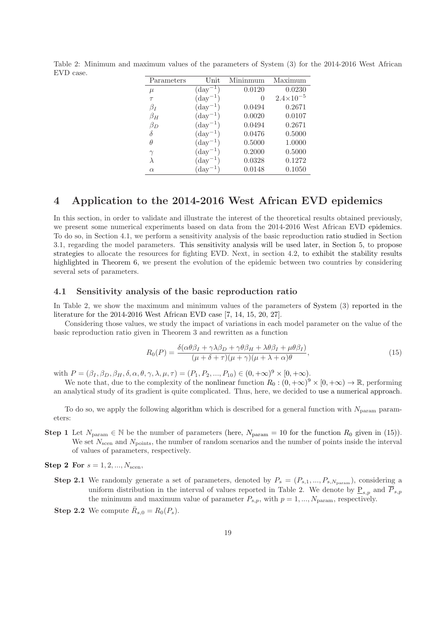| Parameters | Unit                | Mininmum         | Maximum              |
|------------|---------------------|------------------|----------------------|
| $\mu$      | $(\text{day}^{-1})$ | 0.0120           | 0.0230               |
| $\tau$     | $(\text{day}^{-1})$ | $\left( \right)$ | $2.4 \times 10^{-5}$ |
| $\beta_I$  | $(\text{day}^{-1})$ | 0.0494           | 0.2671               |
| $\beta_H$  | $(\text{day}^{-1})$ | 0.0020           | 0.0107               |
| $\beta_D$  | $(\text{day}^{-1})$ | 0.0494           | 0.2671               |
| δ          | $(\text{day}^{-1})$ | 0.0476           | 0.5000               |
| θ          | $(\text{day}^{-1})$ | 0.5000           | 1.0000               |
| $\gamma$   | $(\text{day}^{-1})$ | 0.2000           | 0.5000               |
| λ          | $(\text{day}^{-1})$ | 0.0328           | 0.1272               |
| $\alpha$   | $\rm{day}^{-1}$     | 0.0148           | 0.1050               |

Table 2: Minimum and maximum values of the parameters of System (3) for the 2014-2016 West African EVD case.

### 4 Application to the 2014-2016 West African EVD epidemics

In this section, in order to validate and illustrate the interest of the theoretical results obtained previously, we present some numerical experiments based on data from the 2014-2016 West African EVD epidemics. To do so, in Section 4.1, we perform a sensitivity analysis of the basic reproduction ratio studied in Section 3.1, regarding the model parameters. This sensitivity analysis will be used later, in Section 5, to propose strategies to allocate the resources for fighting EVD. Next, in section 4.2, to exhibit the stability results highlighted in Theorem 6, we present the evolution of the epidemic between two countries by considering several sets of parameters.

#### 4.1 Sensitivity analysis of the basic reproduction ratio

In Table 2, we show the maximum and minimum values of the parameters of System (3) reported in the literature for the 2014-2016 West African EVD case [7, 14, 15, 20, 27].

Considering those values, we study the impact of variations in each model parameter on the value of the basic reproduction ratio given in Theorem 3 and rewritten as a function

$$
R_0(P) = \frac{\delta(\alpha\theta\beta_I + \gamma\lambda\beta_D + \gamma\theta\beta_H + \lambda\theta\beta_I + \mu\theta\beta_I)}{(\mu + \delta + \tau)(\mu + \gamma)(\mu + \lambda + \alpha)\theta},
$$
\n(15)

with  $P = (\beta_I, \beta_D, \beta_H, \delta, \alpha, \theta, \gamma, \lambda, \mu, \tau) = (P_1, P_2, ..., P_{10}) \in (0, +\infty)^9 \times [0, +\infty).$ 

We note that, due to the complexity of the nonlinear function  $R_0 : (0, +\infty)^9 \times [0, +\infty) \to \mathbb{R}$ , performing an analytical study of its gradient is quite complicated. Thus, here, we decided to use a numerical approach.

To do so, we apply the following algorithm which is described for a general function with  $N_{\text{param}}$  parameters:

- **Step 1** Let  $N_{\text{param}} \in \mathbb{N}$  be the number of parameters (here,  $N_{\text{param}} = 10$  for the function  $R_0$  given in (15)). We set  $N_{\rm scen}$  and  $N_{\rm points}$ , the number of random scenarios and the number of points inside the interval of values of parameters, respectively.
- **Step 2 For**  $s = 1, 2, ..., N_{\text{scen}}$ ,
	- **Step 2.1** We randomly generate a set of parameters, denoted by  $P_s = (P_{s,1},...,P_{s,N_{\text{param}}})$ , considering a uniform distribution in the interval of values reported in Table 2. We denote by  $\underline{P}_{s,p}$  and  $\overline{P}_{s,p}$ the minimum and maximum value of parameter  $P_{s,p}$ , with  $p = 1, ..., N_{\text{param}}$ , respectively.
	- **Step 2.2** We compute  $\bar{R}_{s,0} = R_0(P_s)$ .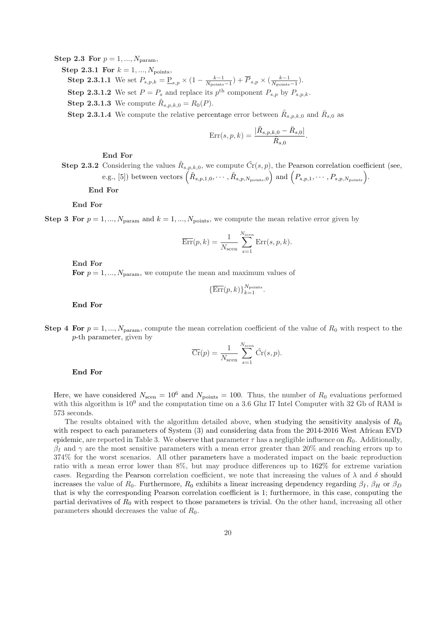Step 2.3 For  $p = 1, ..., N_{\text{param}}$ .

**Step 2.3.1 For**  $k = 1, ..., N_{\text{points}}$ , **Step 2.3.1.1** We set  $P_{s,p,k} = \underline{P}_{s,p} \times (1 - \frac{k-1}{N_{\text{points}}-1}) + \overline{P}_{s,p} \times (\frac{k-1}{N_{\text{points}}-1}).$ **Step 2.3.1.2** We set  $P = P_s$  and replace its  $p^{\text{th}}$  component  $P_{s,p}$  by  $P_{s,p,k}$ . **Step 2.3.1.3** We compute  $\tilde{R}_{s,p,k,0} = R_0(P)$ .

**Step 2.3.1.4** We compute the relative percentage error between  $\tilde{R}_{s,p,k,0}$  and  $\bar{R}_{s,0}$  as

$$
Err(s, p, k) = \frac{|\tilde{R}_{s, p, k, 0} - \bar{R}_{s, 0}|}{\bar{R}_{s, 0}}.
$$

End For

**Step 2.3.2** Considering the values  $\tilde{R}_{s,p,k,0}$ , we compute  $\tilde{C}_r(s,p)$ , the Pearson correlation coefficient (see, e.g., [5]) between vectors  $(\tilde{R}_{s,p,1,0}, \cdots, \tilde{R}_{s,p,N_{\text{points}},0})$  and  $(P_{s,p,1}, \cdots, P_{s,p,N_{\text{points}}})$ .

End For

End For

Step 3 For  $p = 1, ..., N_{\text{param}}$  and  $k = 1, ..., N_{\text{points}}$ , we compute the mean relative error given by

$$
\overline{\mathrm{Err}}(p,k) = \frac{1}{N_{\mathrm{scen}}} \sum_{s=1}^{N_{\mathrm{scen}}} \mathrm{Err}(s,p,k).
$$

End For

For  $p = 1, ..., N_{\text{param}}$ , we compute the mean and maximum values of

$$
\{\overline{\mathrm{Err}}(p,k)\}_{k=1}^{N_{\mathrm{points}}}.
$$

End For

Step 4 For  $p = 1, ..., N_{\text{param}}$ , compute the mean correlation coefficient of the value of  $R_0$  with respect to the p-th parameter, given by

$$
\overline{\mathrm{Cr}}(p) = \frac{1}{N_{\mathrm{scen}}} \sum_{s=1}^{N_{\mathrm{scen}}} \tilde{\mathrm{Cr}}(s, p).
$$

End For

Here, we have considered  $N_{\rm scen} = 10^6$  and  $N_{\rm points} = 100$ . Thus, the number of  $R_0$  evaluations performed with this algorithm is  $10^9$  and the computation time on a 3.6 Ghz I7 Intel Computer with 32 Gb of RAM is 573 seconds.

The results obtained with the algorithm detailed above, when studying the sensitivity analysis of  $R_0$ with respect to each parameters of System (3) and considering data from the 2014-2016 West African EVD epidemic, are reported in Table 3. We observe that parameter  $\tau$  has a negligible influence on  $R_0$ . Additionally,  $\beta_I$  and  $\gamma$  are the most sensitive parameters with a mean error greater than 20% and reaching errors up to 374% for the worst scenarios. All other parameters have a moderated impact on the basic reproduction ratio with a mean error lower than 8%, but may produce differences up to 162% for extreme variation cases. Regarding the Pearson correlation coefficient, we note that increasing the values of  $\lambda$  and  $\delta$  should increases the value of  $R_0$ . Furthermore,  $R_0$  exhibits a linear increasing dependency regarding  $\beta_I$ ,  $\beta_H$  or  $\beta_D$ that is why the corresponding Pearson correlation coefficient is 1; furthermore, in this case, computing the partial derivatives of  $R_0$  with respect to those parameters is trivial. On the other hand, increasing all other parameters should decreases the value of  $R_0$ .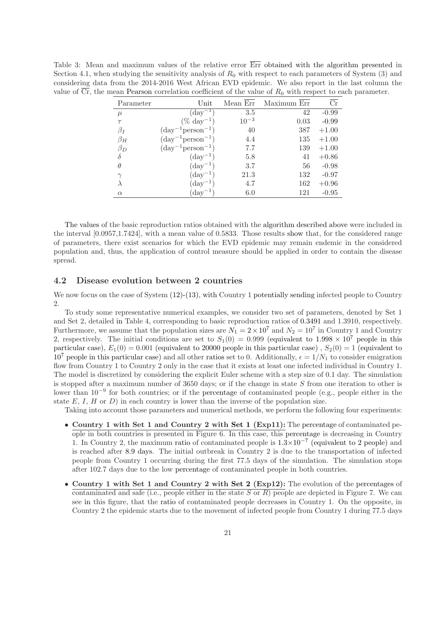Table 3: Mean and maximum values of the relative error Err obtained with the algorithm presented in Section 4.1, when studying the sensitivity analysis of  $R_0$  with respect to each parameters of System (3) and considering data from the 2014-2016 West African EVD epidemic. We also report in the last column the value of  $\overline{Cr}$ , the mean Pearson correlation coefficient of the value of  $R_0$  with respect to each parameter.

| Parameter | Unit                                  | Mean Err  | Maximum Err | Сr      |
|-----------|---------------------------------------|-----------|-------------|---------|
| $\mu$     | $(\text{day}^{-1})$                   | 3.5       | 42          | $-0.99$ |
| $\tau$    | $(\% \ day^{-1})$                     | $10^{-3}$ | 0.03        | $-0.99$ |
| $\beta_I$ | $(\text{day}^{-1}\text{person}^{-1})$ | 40        | 387         | $+1.00$ |
| $\beta_H$ | $(\text{day}^{-1}\text{person}^{-1})$ | 4.4       | 135         | $+1.00$ |
| $\beta_D$ | $(\text{day}^{-1}\text{person}^{-1})$ | 7.7       | 139         | $+1.00$ |
| $\delta$  | $(\text{day}^{-1})$                   | 5.8       | 41          | $+0.86$ |
| $\theta$  | $(\text{day}^{-1})$                   | 3.7       | 56          | $-0.98$ |
| $\gamma$  | $(\text{day}^{-1})$                   | 21.3      | 132         | $-0.97$ |
| $\lambda$ | $(\text{day}^{-1})$                   | 4.7       | 162         | $+0.96$ |
| $\alpha$  | $(\text{day}^{-1})$                   | 6.0       | 121         | $-0.95$ |

The values of the basic reproduction ratios obtained with the algorithm described above were included in the interval [0.0957,1.7424], with a mean value of 0.5833. Those results show that, for the considered range of parameters, there exist scenarios for which the EVD epidemic may remain endemic in the considered population and, thus, the application of control measure should be applied in order to contain the disease spread.

#### 4.2 Disease evolution between 2 countries

We now focus on the case of System  $(12)-(13)$ , with Country 1 potentially sending infected people to Country 2.

To study some representative numerical examples, we consider two set of parameters, denoted by Set 1 and Set 2, detailed in Table 4, corresponding to basic reproduction ratios of 0.3491 and 1.3910, respectively. Furthermore, we assume that the population sizes are  $N_1 = 2 \times 10^7$  and  $N_2 = 10^7$  in Country 1 and Country 2, respectively. The initial conditions are set to  $S_1(0) = 0.999$  (equivalent to  $1.998 \times 10^7$  people in this particular case),  $E_1(0) = 0.001$  (equivalent to 20000 people in this particular case),  $S_2(0) = 1$  (equivalent to 10<sup>7</sup> people in this particular case) and all other ratios set to 0. Additionally,  $\epsilon = 1/N_1$  to consider emigration flow from Country 1 to Country 2 only in the case that it exists at least one infected individual in Country 1. The model is discretized by considering the explicit Euler scheme with a step size of 0.1 day. The simulation is stopped after a maximum number of 3650 days; or if the change in state S from one iteration to other is lower than 10<sup>-9</sup> for both countries; or if the percentage of contaminated people (e.g., people either in the state  $E$ ,  $I$ ,  $H$  or  $D$ ) in each country is lower than the inverse of the population size.

Taking into account those parameters and numerical methods, we perform the following four experiments:

- Country 1 with Set 1 and Country 2 with Set 1 (Exp11): The percentage of contaminated people in both countries is presented in Figure 6. In this case, this percentage is decreasing in Country 1. In Country 2, the maximum ratio of contaminated people is  $1.3 \times 10^{-7}$  (equivalent to 2 people) and is reached after 8.9 days. The initial outbreak in Country 2 is due to the transportation of infected people from Country 1 occurring during the first 77.5 days of the simulation. The simulation stops after 102.7 days due to the low percentage of contaminated people in both countries.
- Country 1 with Set 1 and Country 2 with Set 2 (Exp12): The evolution of the percentages of contaminated and safe (i.e., people either in the state S or  $R$ ) people are depicted in Figure 7. We can see in this figure, that the ratio of contaminated people decreases in Country 1. On the opposite, in Country 2 the epidemic starts due to the movement of infected people from Country 1 during 77.5 days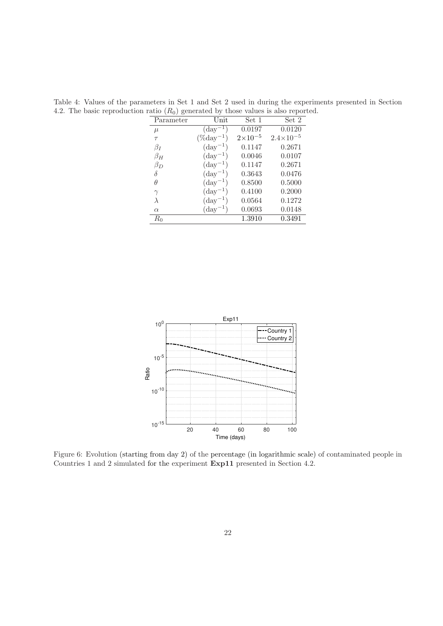| Parameter | Unit                | Set 1              | Set 2                |
|-----------|---------------------|--------------------|----------------------|
| $\mu$     | $(\text{day}^{-1})$ | 0.0197             | 0.0120               |
| $\tau$    | $(\%day^{-1})$      | $2 \times 10^{-5}$ | $2.4 \times 10^{-5}$ |
| $\beta_I$ | $(\text{day}^{-1})$ | 0.1147             | 0.2671               |
| $\beta_H$ | $(\text{day}^{-1})$ | 0.0046             | 0.0107               |
| $\beta_D$ | $(\text{day}^{-1})$ | 0.1147             | 0.2671               |
| δ         | $(\text{day}^{-1})$ | 0.3643             | 0.0476               |
| $\theta$  | $(\text{day}^{-1})$ | 0.8500             | 0.5000               |
| $\gamma$  | $(\text{day}^{-1})$ | 0.4100             | 0.2000               |
| $\lambda$ | $(\text{day}^{-1})$ | 0.0564             | 0.1272               |
| $\alpha$  | $(\text{day}^{-1})$ | 0.0693             | 0.0148               |
| $R_0$     |                     | 1.3910             | 0.3491               |
|           |                     |                    |                      |

Table 4: Values of the parameters in Set 1 and Set 2 used in during the experiments presented in Section 4.2. The basic reproduction ratio  $(R_0)$  generated by those values is also reported.



Figure 6: Evolution (starting from day 2) of the percentage (in logarithmic scale) of contaminated people in Countries 1 and 2 simulated for the experiment Exp11 presented in Section 4.2.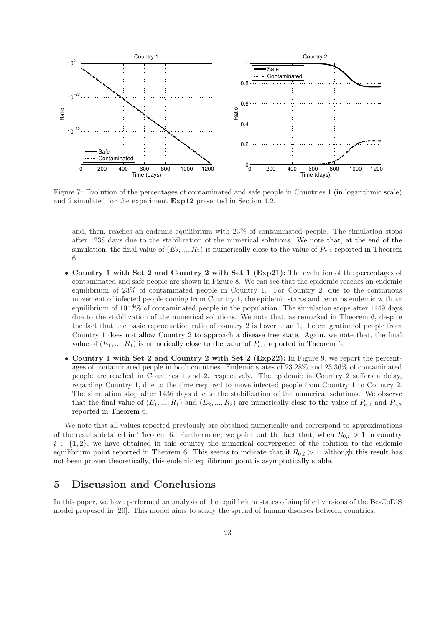

Figure 7: Evolution of the percentages of contaminated and safe people in Countries 1 (in logarithmic scale) and 2 simulated for the experiment Exp12 presented in Section 4.2.

and, then, reaches an endemic equilibrium with 23% of contaminated people. The simulation stops after 1238 days due to the stabilization of the numerical solutions. We note that, at the end of the simulation, the final value of  $(E_2, ..., R_2)$  is numerically close to the value of  $P_{e,2}$  reported in Theorem 6.

- Country 1 with Set 2 and Country 2 with Set 1 (Exp21): The evolution of the percentages of contaminated and safe people are shown in Figure 8. We can see that the epidemic reaches an endemic equilibrium of 23% of contaminated people in Country 1. For Country 2, due to the continuous movement of infected people coming from Country 1, the epidemic starts and remains endemic with an equilibrium of 10<sup>−</sup><sup>4</sup>% of contaminated people in the population. The simulation stops after 1149 days due to the stabilization of the numerical solutions. We note that, as remarked in Theorem 6, despite the fact that the basic reproduction ratio of country 2 is lower than 1, the emigration of people from Country 1 does not allow Country 2 to approach a disease free state. Again, we note that, the final value of  $(E_1, ..., R_1)$  is numerically close to the value of  $P_{e,1}$  reported in Theorem 6.
- Country 1 with Set 2 and Country 2 with Set 2 (Exp22): In Figure 9, we report the percentages of contaminated people in both countries. Endemic states of 23.28% and 23.36% of contaminated people are reached in Countries 1 and 2, respectively. The epidemic in Country 2 suffers a delay, regarding Country 1, due to the time required to move infected people from Country 1 to Country 2. The simulation stop after 1436 days due to the stabilization of the numerical solutions. We observe that the final value of  $(E_1, ..., R_1)$  and  $(E_2, ..., R_2)$  are numerically close to the value of  $P_{e,1}$  and  $P_{e,2}$ reported in Theorem 6.

We note that all values reported previously are obtained numerically and correspond to approximations of the results detailed in Theorem 6. Furthermore, we point out the fact that, when  $R_{0,i} > 1$  in country  $i \in \{1,2\}$ , we have obtained in this country the numerical convergence of the solution to the endemic equilibrium point reported in Theorem 6. This seems to indicate that if  $R_{0,i} > 1$ , although this result has not been proven theoretically, this endemic equilibrium point is asymptotically stable.

### 5 Discussion and Conclusions

In this paper, we have performed an analysis of the equilibrium states of simplified versions of the Be-CoDiS model proposed in [20]. This model aims to study the spread of human diseases between countries.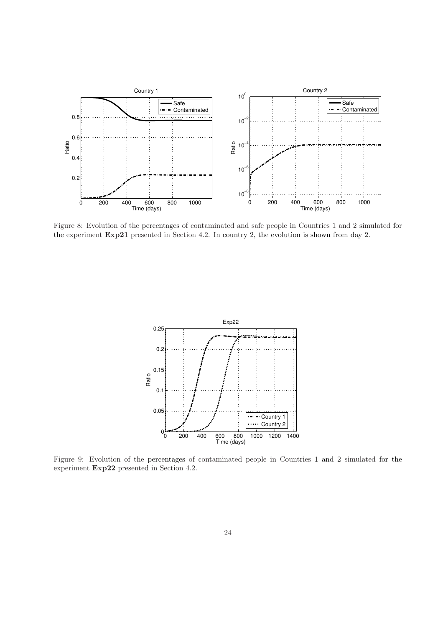

Figure 8: Evolution of the percentages of contaminated and safe people in Countries 1 and 2 simulated for the experiment Exp21 presented in Section 4.2. In country 2, the evolution is shown from day 2.



Figure 9: Evolution of the percentages of contaminated people in Countries 1 and 2 simulated for the experiment Exp22 presented in Section 4.2.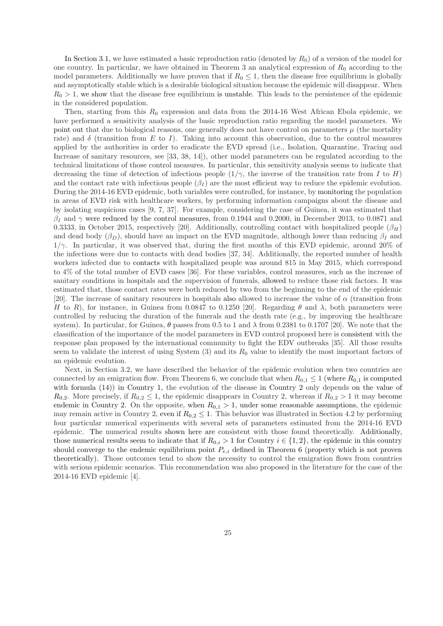In Section 3.1, we have estimated a basic reproduction ratio (denoted by  $R_0$ ) of a version of the model for one country. In particular, we have obtained in Theorem 3 an analytical expression of  $R_0$  according to the model parameters. Additionally we have proven that if  $R_0 \leq 1$ , then the disease free equilibrium is globally and asymptotically stable which is a desirable biological situation because the epidemic will disappear. When  $R_0 > 1$ , we show that the disease free equilibrium is unstable. This leads to the persistence of the epidemic in the considered population.

Then, starting from this  $R_0$  expression and data from the 2014-16 West African Ebola epidemic, we have performed a sensitivity analysis of the basic reproduction ratio regarding the model parameters. We point out that due to biological reasons, one generally does not have control on parameters  $\mu$  (the mortality rate) and  $\delta$  (transition from E to I). Taking into account this observation, due to the control measures applied by the authorities in order to eradicate the EVD spread (i.e., Isolation, Quarantine, Tracing and Increase of sanitary resources, see [33, 38, 14]), other model parameters can be regulated according to the technical limitations of those control measures. In particular, this sensitivity analysis seems to indicate that decreasing the time of detection of infectious people  $(1/\gamma$ , the inverse of the transition rate from I to H) and the contact rate with infectious people  $(\beta_I)$  are the most efficient way to reduce the epidemic evolution. During the 2014-16 EVD epidemic, both variables were controlled, for instance, by monitoring the population in areas of EVD risk with healthcare workers, by performing information campaigns about the disease and by isolating suspicious cases [9, 7, 37]. For example, considering the case of Guinea, it was estimated that  $\beta_I$  and  $\gamma$  were reduced by the control measures, from 0.1944 and 0.2000, in December 2013, to 0.0871 and 0.3333, in October 2015, respectively [20]. Additionally, controlling contact with hospitalized people ( $\beta_H$ ) and dead body  $(\beta_D)$ , should have an impact on the EVD magnitude, although lower than reducing  $\beta_I$  and  $1/\gamma$ . In particular, it was observed that, during the first months of this EVD epidemic, around 20% of the infections were due to contacts with dead bodies [37, 34]. Additionally, the reported number of health workers infected due to contacts with hospitalized people was around 815 in May 2015, which correspond to 4% of the total number of EVD cases [36]. For these variables, control measures, such as the increase of sanitary conditions in hospitals and the supervision of funerals, allowed to reduce those risk factors. It was estimated that, those contact rates were both reduced by two from the beginning to the end of the epidemic [20]. The increase of sanitary resources in hospitals also allowed to increase the value of  $\alpha$  (transition from H to R), for instance, in Guinea from 0.0847 to 0.1250 [20]. Regarding  $\theta$  and  $\lambda$ , both parameters were controlled by reducing the duration of the funerals and the death rate (e.g., by improving the healthcare system). In particular, for Guinea,  $\theta$  passes from 0.5 to 1 and  $\lambda$  from 0.2381 to 0.1707 [20]. We note that the classification of the importance of the model parameters in EVD control proposed here is consistent with the response plan proposed by the international community to fight the EDV outbreaks [35]. All those results seem to validate the interest of using System  $(3)$  and its  $R_0$  value to identify the most important factors of an epidemic evolution.

Next, in Section 3.2, we have described the behavior of the epidemic evolution when two countries are connected by an emigration flow. From Theorem 6, we conclude that when  $R_{0,1} \leq 1$  (where  $R_{0,1}$  is computed with formula (14)) in Country 1, the evolution of the disease in Country 2 only depends on the value of  $R_{0,2}$ . More precisely, if  $R_{0,2} \leq 1$ , the epidemic disappears in Country 2, whereas if  $R_{0,2} > 1$  it may become endemic in Country 2. On the opposite, when  $R_{0,1} > 1$ , under some reasonable assumptions, the epidemic may remain active in Country 2, even if  $R_{0,2} \leq 1$ . This behavior was illustrated in Section 4.2 by performing four particular numerical experiments with several sets of parameters estimated from the 2014-16 EVD epidemic. The numerical results shown here are consistent with those found theoretically. Additionally, those numerical results seem to indicate that if  $R_{0,i} > 1$  for Country  $i \in \{1,2\}$ , the epidemic in this country should converge to the endemic equilibrium point  $P_{e,i}$  defined in Theorem 6 (property which is not proven theoretically). Those outcomes tend to show the necessity to control the emigration flows from countries with serious epidemic scenarios. This recommendation was also proposed in the literature for the case of the 2014-16 EVD epidemic [4].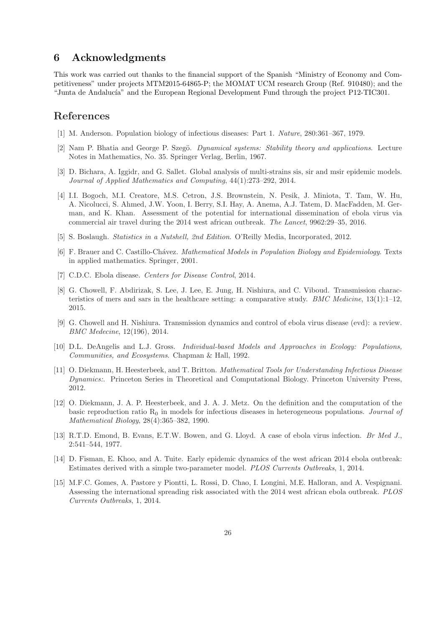## 6 Acknowledgments

This work was carried out thanks to the financial support of the Spanish "Ministry of Economy and Competitiveness" under projects MTM2015-64865-P; the MOMAT UCM research Group (Ref. 910480); and the "Junta de Andalucía" and the European Regional Development Fund through the project P12-TIC301.

### References

- [1] M. Anderson. Population biology of infectious diseases: Part 1. *Nature*, 280:361–367, 1979.
- [2] Nam P. Bhatia and George P. Szegö. *Dynamical systems: Stability theory and applications*. Lecture Notes in Mathematics, No. 35. Springer Verlag, Berlin, 1967.
- [3] D. Bichara, A. Iggidr, and G. Sallet. Global analysis of multi-strains sis, sir and msir epidemic models. *Journal of Applied Mathematics and Computing*, 44(1):273–292, 2014.
- [4] I.I. Bogoch, M.I. Creatore, M.S. Cetron, J.S. Brownstein, N. Pesik, J. Miniota, T. Tam, W. Hu, A. Nicolucci, S. Ahmed, J.W. Yoon, I. Berry, S.I. Hay, A. Anema, A.J. Tatem, D. MacFadden, M. German, and K. Khan. Assessment of the potential for international dissemination of ebola virus via commercial air travel during the 2014 west african outbreak. *The Lancet*, 9962:29–35, 2016.
- [5] S. Boslaugh. *Statistics in a Nutshell, 2nd Edition*. O'Reilly Media, Incorporated, 2012.
- [6] F. Brauer and C. Castillo-Ch´avez. *Mathematical Models in Population Biology and Epidemiology*. Texts in applied mathematics. Springer, 2001.
- [7] C.D.C. Ebola disease. *Centers for Disease Control*, 2014.
- [8] G. Chowell, F. Abdirizak, S. Lee, J. Lee, E. Jung, H. Nishiura, and C. Viboud. Transmission characteristics of mers and sars in the healthcare setting: a comparative study. *BMC Medicine*, 13(1):1–12, 2015.
- [9] G. Chowell and H. Nishiura. Transmission dynamics and control of ebola virus disease (evd): a review. *BMC Medecine*, 12(196), 2014.
- [10] D.L. DeAngelis and L.J. Gross. *Individual-based Models and Approaches in Ecology: Populations, Communities, and Ecosystems*. Chapman & Hall, 1992.
- [11] O. Diekmann, H. Heesterbeek, and T. Britton. *Mathematical Tools for Understanding Infectious Disease Dynamics:*. Princeton Series in Theoretical and Computational Biology. Princeton University Press, 2012.
- [12] O. Diekmann, J. A. P. Heesterbeek, and J. A. J. Metz. On the definition and the computation of the basic reproduction ratio R<sup>0</sup> in models for infectious diseases in heterogeneous populations. *Journal of Mathematical Biology*, 28(4):365–382, 1990.
- [13] R.T.D. Emond, B. Evans, E.T.W. Bowen, and G. Lloyd. A case of ebola virus infection. *Br Med J.*, 2:541–544, 1977.
- [14] D. Fisman, E. Khoo, and A. Tuite. Early epidemic dynamics of the west african 2014 ebola outbreak: Estimates derived with a simple two-parameter model. *PLOS Currents Outbreaks*, 1, 2014.
- [15] M.F.C. Gomes, A. Pastore y Piontti, L. Rossi, D. Chao, I. Longini, M.E. Halloran, and A. Vespignani. Assessing the international spreading risk associated with the 2014 west african ebola outbreak. *PLOS Currents Outbreaks*, 1, 2014.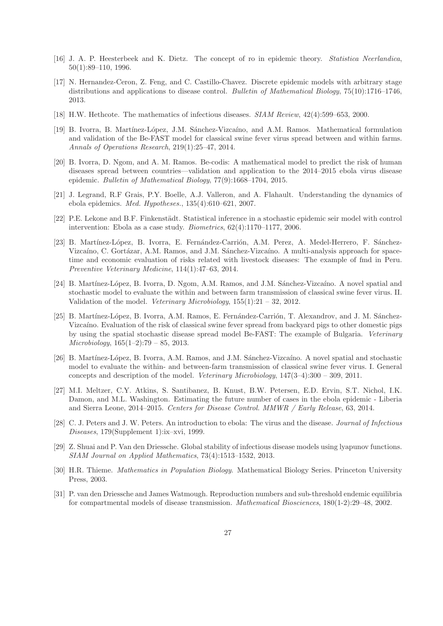- [16] J. A. P. Heesterbeek and K. Dietz. The concept of ro in epidemic theory. *Statistica Neerlandica*, 50(1):89–110, 1996.
- [17] N. Hernandez-Ceron, Z. Feng, and C. Castillo-Chavez. Discrete epidemic models with arbitrary stage distributions and applications to disease control. *Bulletin of Mathematical Biology*, 75(10):1716–1746, 2013.
- [18] H.W. Hethcote. The mathematics of infectious diseases. *SIAM Review*, 42(4):599–653, 2000.
- [19] B. Ivorra, B. Martínez-López, J.M. Sánchez-Vizcaíno, and A.M. Ramos. Mathematical formulation and validation of the Be-FAST model for classical swine fever virus spread between and within farms. *Annals of Operations Research*, 219(1):25–47, 2014.
- [20] B. Ivorra, D. Ngom, and A. M. Ramos. Be-codis: A mathematical model to predict the risk of human diseases spread between countries—validation and application to the 2014–2015 ebola virus disease epidemic. *Bulletin of Mathematical Biology*, 77(9):1668–1704, 2015.
- [21] J. Legrand, R.F Grais, P.Y. Boelle, A.J. Valleron, and A. Flahault. Understanding the dynamics of ebola epidemics. *Med. Hypotheses.*, 135(4):610–621, 2007.
- [22] P.E. Lekone and B.F. Finkenstädt. Statistical inference in a stochastic epidemic seir model with control intervention: Ebola as a case study. *Biometrics*, 62(4):1170–1177, 2006.
- [23] B. Martínez-López, B. Ivorra, E. Fernández-Carrión, A.M. Perez, A. Medel-Herrero, F. Sánchez-Vizcaíno, C. Gortázar, A.M. Ramos, and J.M. Sánchez-Vizcaíno. A multi-analysis approach for spacetime and economic evaluation of risks related with livestock diseases: The example of fmd in Peru. *Preventive Veterinary Medicine*, 114(1):47–63, 2014.
- [24] B. Martínez-López, B. Ivorra, D. Ngom, A.M. Ramos, and J.M. Sánchez-Vizcaíno. A novel spatial and stochastic model to evaluate the within and between farm transmission of classical swine fever virus. II. Validation of the model. *Veterinary Microbiology*, 155(1):21 – 32, 2012.
- [25] B. Martínez-López, B. Ivorra, A.M. Ramos, E. Fernández-Carrión, T. Alexandrov, and J. M. Sánchez-Vizcaíno. Evaluation of the risk of classical swine fever spread from backyard pigs to other domestic pigs by using the spatial stochastic disease spread model Be-FAST: The example of Bulgaria. *Veterinary Microbiology*, 165(1–2):79 – 85, 2013.
- [26] B. Martínez-López, B. Ivorra, A.M. Ramos, and J.M. Sánchez-Vizcaíno. A novel spatial and stochastic model to evaluate the within- and between-farm transmission of classical swine fever virus. I. General concepts and description of the model. *Veterinary Microbiology*, 147(3–4):300 – 309, 2011.
- [27] M.I. Meltzer, C.Y. Atkins, S. Santibanez, B. Knust, B.W. Petersen, E.D. Ervin, S.T. Nichol, I.K. Damon, and M.L. Washington. Estimating the future number of cases in the ebola epidemic - Liberia and Sierra Leone, 2014–2015. *Centers for Disease Control. MMWR / Early Release*, 63, 2014.
- [28] C. J. Peters and J. W. Peters. An introduction to ebola: The virus and the disease. *Journal of Infectious Diseases*, 179(Supplement 1):ix–xvi, 1999.
- [29] Z. Shuai and P. Van den Driessche. Global stability of infectious disease models using lyapunov functions. *SIAM Journal on Applied Mathematics*, 73(4):1513–1532, 2013.
- [30] H.R. Thieme. *Mathematics in Population Biology*. Mathematical Biology Series. Princeton University Press, 2003.
- [31] P. van den Driessche and James Watmough. Reproduction numbers and sub-threshold endemic equilibria for compartmental models of disease transmission. *Mathematical Biosciences*, 180(1-2):29–48, 2002.